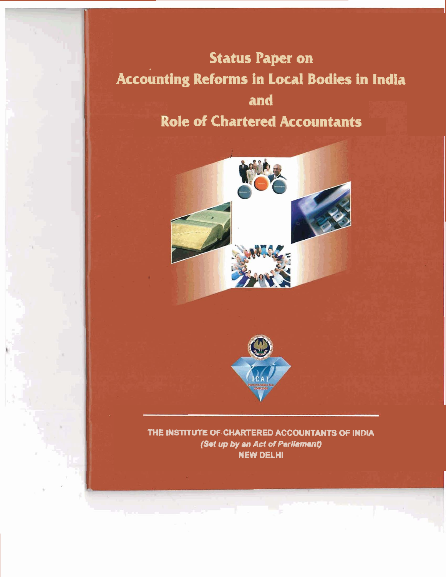# **Status Paper on Accounting Reforms in Local Bodies in India and kole of Chartered Accountants**





**THE INSTITUTE OF CHARTERED ACCOUNTANTS OF INDIA (Set up by an Act of Parliament) MEW DELHl**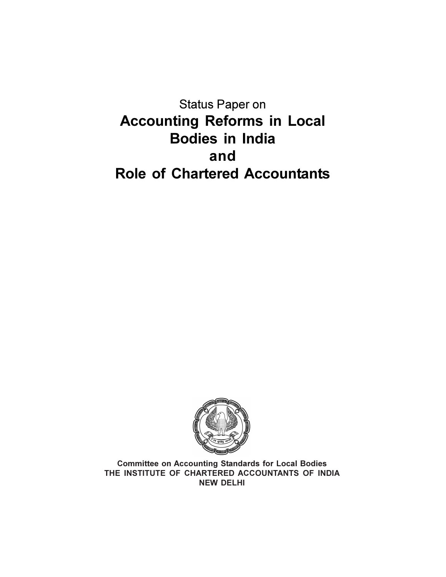**Status Paper on Accounting Reforms in Local Bodies in India** and **Role of Chartered Accountants** 



**Committee on Accounting Standards for Local Bodies** THE INSTITUTE OF CHARTERED ACCOUNTANTS OF INDIA **NEW DELHI**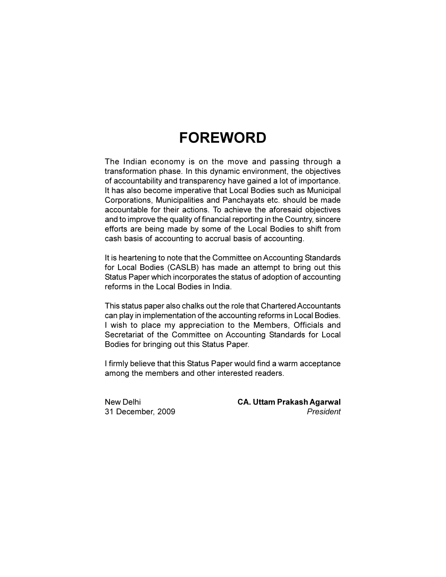# **FOREWORD**

The Indian economy is on the move and passing through a transformation phase. In this dynamic environment, the objectives of accountability and transparency have gained a lot of importance. It has also become imperative that Local Bodies such as Municipal Corporations, Municipalities and Panchayats etc. should be made accountable for their actions. To achieve the aforesaid objectives and to improve the quality of financial reporting in the Country, sincere efforts are being made by some of the Local Bodies to shift from cash basis of accounting to accrual basis of accounting.

It is heartening to note that the Committee on Accounting Standards for Local Bodies (CASLB) has made an attempt to bring out this Status Paper which incorporates the status of adoption of accounting reforms in the Local Bodies in India.

This status paper also chalks out the role that Chartered Accountants can play in implementation of the accounting reforms in Local Bodies. I wish to place my appreciation to the Members. Officials and Secretariat of the Committee on Accounting Standards for Local Bodies for bringing out this Status Paper.

I firmly believe that this Status Paper would find a warm acceptance among the members and other interested readers.

New Delhi 31 December, 2009 **CA. Uttam Prakash Agarwal** President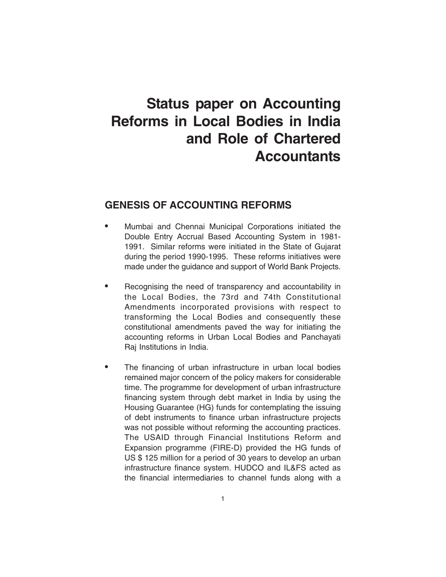# **Status paper on Accounting Reforms in Local Bodies in India and Role of Chartered Accountants**

### **GENESIS OF ACCOUNTING REFORMS**

- Mumbai and Chennai Municipal Corporations initiated the Double Entry Accrual Based Accounting System in 1981- 1991. Similar reforms were initiated in the State of Gujarat during the period 1990-1995. These reforms initiatives were made under the guidance and support of World Bank Projects.
- Recognising the need of transparency and accountability in the Local Bodies, the 73rd and 74th Constitutional Amendments incorporated provisions with respect to transforming the Local Bodies and consequently these constitutional amendments paved the way for initiating the accounting reforms in Urban Local Bodies and Panchayati Raj Institutions in India.
- The financing of urban infrastructure in urban local bodies remained major concern of the policy makers for considerable time. The programme for development of urban infrastructure financing system through debt market in India by using the Housing Guarantee (HG) funds for contemplating the issuing of debt instruments to finance urban infrastructure projects was not possible without reforming the accounting practices. The USAID through Financial Institutions Reform and Expansion programme (FIRE-D) provided the HG funds of US \$ 125 million for a period of 30 years to develop an urban infrastructure finance system. HUDCO and IL&FS acted as the financial intermediaries to channel funds along with a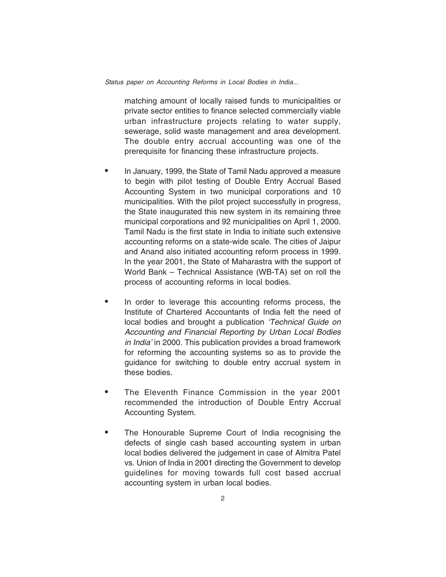matching amount of locally raised funds to municipalities or private sector entities to finance selected commercially viable urban infrastructure projects relating to water supply, sewerage, solid waste management and area development. The double entry accrual accounting was one of the prerequisite for financing these infrastructure projects.

- In January, 1999, the State of Tamil Nadu approved a measure to begin with pilot testing of Double Entry Accrual Based Accounting System in two municipal corporations and 10 municipalities. With the pilot project successfully in progress, the State inaugurated this new system in its remaining three municipal corporations and 92 municipalities on April 1, 2000. Tamil Nadu is the first state in India to initiate such extensive accounting reforms on a state-wide scale. The cities of Jaipur and Anand also initiated accounting reform process in 1999. In the year 2001, the State of Maharastra with the support of World Bank – Technical Assistance (WB-TA) set on roll the process of accounting reforms in local bodies.
- In order to leverage this accounting reforms process, the Institute of Chartered Accountants of India felt the need of local bodies and brought a publication 'Technical Guide on Accounting and Financial Reporting by Urban Local Bodies in India' in 2000. This publication provides a broad framework for reforming the accounting systems so as to provide the guidance for switching to double entry accrual system in these bodies.
- The Eleventh Finance Commission in the year 2001 recommended the introduction of Double Entry Accrual Accounting System.
- The Honourable Supreme Court of India recognising the defects of single cash based accounting system in urban local bodies delivered the judgement in case of Almitra Patel vs. Union of India in 2001 directing the Government to develop guidelines for moving towards full cost based accrual accounting system in urban local bodies.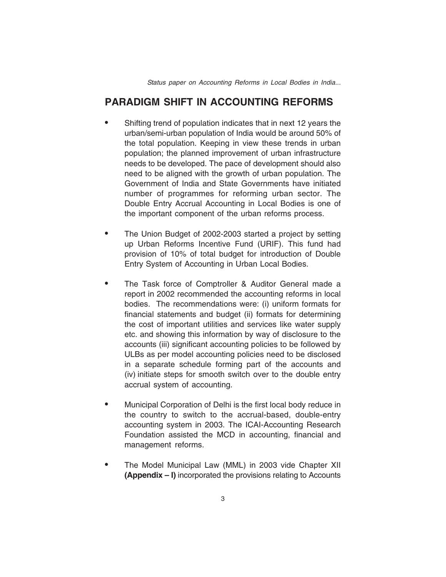#### **PARADIGM SHIFT IN ACCOUNTING REFORMS**

- Shifting trend of population indicates that in next 12 years the urban/semi-urban population of India would be around 50% of the total population. Keeping in view these trends in urban population; the planned improvement of urban infrastructure needs to be developed. The pace of development should also need to be aligned with the growth of urban population. The Government of India and State Governments have initiated number of programmes for reforming urban sector. The Double Entry Accrual Accounting in Local Bodies is one of the important component of the urban reforms process.
- The Union Budget of 2002-2003 started a project by setting up Urban Reforms Incentive Fund (URIF). This fund had provision of 10% of total budget for introduction of Double Entry System of Accounting in Urban Local Bodies.
- The Task force of Comptroller & Auditor General made a report in 2002 recommended the accounting reforms in local bodies. The recommendations were: (i) uniform formats for financial statements and budget (ii) formats for determining the cost of important utilities and services like water supply etc. and showing this information by way of disclosure to the accounts (iii) significant accounting policies to be followed by ULBs as per model accounting policies need to be disclosed in a separate schedule forming part of the accounts and (iv) initiate steps for smooth switch over to the double entry accrual system of accounting.
- Municipal Corporation of Delhi is the first local body reduce in the country to switch to the accrual-based, double-entry accounting system in 2003. The ICAI-Accounting Research Foundation assisted the MCD in accounting, financial and management reforms.
- The Model Municipal Law (MML) in 2003 vide Chapter XII **(Appendix – I)** incorporated the provisions relating to Accounts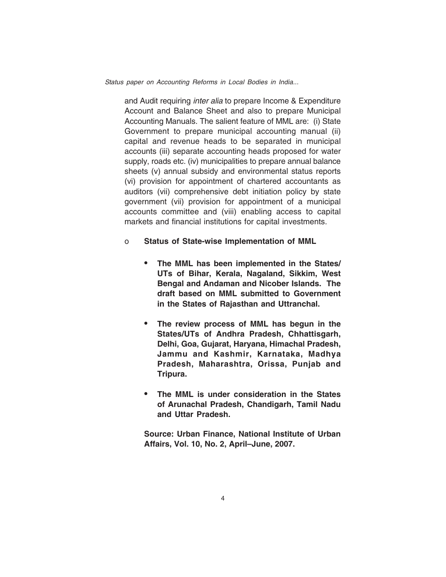and Audit requiring *inter alia* to prepare Income & Expenditure Account and Balance Sheet and also to prepare Municipal Accounting Manuals. The salient feature of MML are: (i) State Government to prepare municipal accounting manual (ii) capital and revenue heads to be separated in municipal accounts (iii) separate accounting heads proposed for water supply, roads etc. (iv) municipalities to prepare annual balance sheets (v) annual subsidy and environmental status reports (vi) provision for appointment of chartered accountants as auditors (vii) comprehensive debt initiation policy by state government (vii) provision for appointment of a municipal accounts committee and (viii) enabling access to capital markets and financial institutions for capital investments.

- o **Status of State-wise Implementation of MML**
	- **The MML has been implemented in the States/ UTs of Bihar, Kerala, Nagaland, Sikkim, West Bengal and Andaman and Nicober Islands. The draft based on MML submitted to Government in the States of Rajasthan and Uttranchal.**
	- **The review process of MML has begun in the States/UTs of Andhra Pradesh, Chhattisgarh, Delhi, Goa, Gujarat, Haryana, Himachal Pradesh, Jammu and Kashmir, Karnataka, Madhya Pradesh, Maharashtra, Orissa, Punjab and Tripura.**
	- **The MML is under consideration in the States of Arunachal Pradesh, Chandigarh, Tamil Nadu and Uttar Pradesh.**

**Source: Urban Finance, National Institute of Urban Affairs, Vol. 10, No. 2, April–June, 2007.**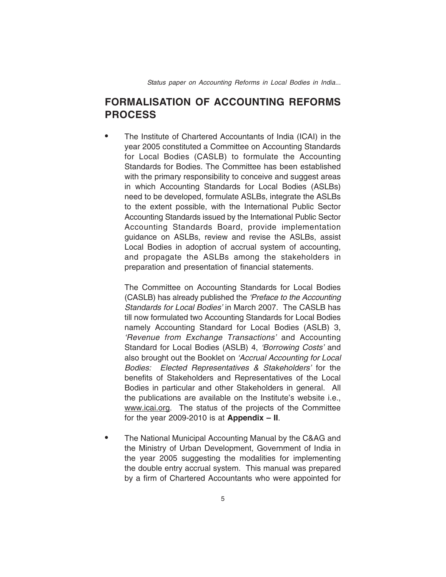### **FORMALISATION OF ACCOUNTING REFORMS PROCESS**

• The Institute of Chartered Accountants of India (ICAI) in the year 2005 constituted a Committee on Accounting Standards for Local Bodies (CASLB) to formulate the Accounting Standards for Bodies. The Committee has been established with the primary responsibility to conceive and suggest areas in which Accounting Standards for Local Bodies (ASLBs) need to be developed, formulate ASLBs, integrate the ASLBs to the extent possible, with the International Public Sector Accounting Standards issued by the International Public Sector Accounting Standards Board, provide implementation guidance on ASLBs, review and revise the ASLBs, assist Local Bodies in adoption of accrual system of accounting, and propagate the ASLBs among the stakeholders in preparation and presentation of financial statements.

The Committee on Accounting Standards for Local Bodies (CASLB) has already published the 'Preface to the Accounting Standards for Local Bodies' in March 2007. The CASLB has till now formulated two Accounting Standards for Local Bodies namely Accounting Standard for Local Bodies (ASLB) 3, 'Revenue from Exchange Transactions' and Accounting Standard for Local Bodies (ASLB) 4, 'Borrowing Costs' and also brought out the Booklet on 'Accrual Accounting for Local Bodies: Elected Representatives & Stakeholders' for the benefits of Stakeholders and Representatives of the Local Bodies in particular and other Stakeholders in general. All the publications are available on the Institute's website i.e., www.icai.org. The status of the projects of the Committee for the year 2009-2010 is at **Appendix – II**.

• The National Municipal Accounting Manual by the C&AG and the Ministry of Urban Development, Government of India in the year 2005 suggesting the modalities for implementing the double entry accrual system. This manual was prepared by a firm of Chartered Accountants who were appointed for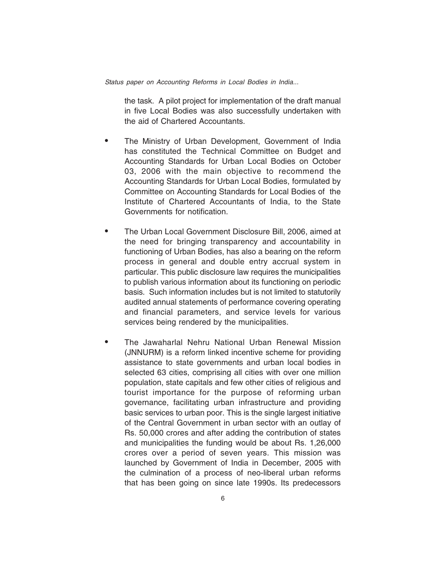the task. A pilot project for implementation of the draft manual in five Local Bodies was also successfully undertaken with the aid of Chartered Accountants.

- The Ministry of Urban Development, Government of India has constituted the Technical Committee on Budget and Accounting Standards for Urban Local Bodies on October 03, 2006 with the main objective to recommend the Accounting Standards for Urban Local Bodies, formulated by Committee on Accounting Standards for Local Bodies of the Institute of Chartered Accountants of India, to the State Governments for notification.
- The Urban Local Government Disclosure Bill, 2006, aimed at the need for bringing transparency and accountability in functioning of Urban Bodies, has also a bearing on the reform process in general and double entry accrual system in particular. This public disclosure law requires the municipalities to publish various information about its functioning on periodic basis. Such information includes but is not limited to statutorily audited annual statements of performance covering operating and financial parameters, and service levels for various services being rendered by the municipalities.
- The Jawaharlal Nehru National Urban Renewal Mission (JNNURM) is a reform linked incentive scheme for providing assistance to state governments and urban local bodies in selected 63 cities, comprising all cities with over one million population, state capitals and few other cities of religious and tourist importance for the purpose of reforming urban governance, facilitating urban infrastructure and providing basic services to urban poor. This is the single largest initiative of the Central Government in urban sector with an outlay of Rs. 50,000 crores and after adding the contribution of states and municipalities the funding would be about Rs. 1,26,000 crores over a period of seven years. This mission was launched by Government of India in December, 2005 with the culmination of a process of neo-liberal urban reforms that has been going on since late 1990s. Its predecessors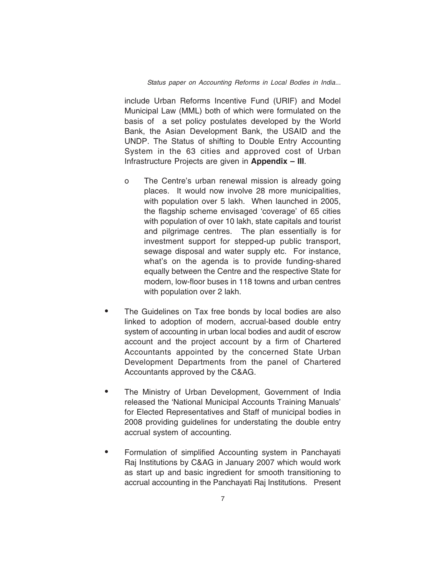include Urban Reforms Incentive Fund (URIF) and Model Municipal Law (MML) both of which were formulated on the basis of a set policy postulates developed by the World Bank, the Asian Development Bank, the USAID and the UNDP. The Status of shifting to Double Entry Accounting System in the 63 cities and approved cost of Urban Infrastructure Projects are given in **Appendix – III**.

- o The Centre's urban renewal mission is already going places. It would now involve 28 more municipalities, with population over 5 lakh. When launched in 2005, the flagship scheme envisaged 'coverage' of 65 cities with population of over 10 lakh, state capitals and tourist and pilgrimage centres. The plan essentially is for investment support for stepped-up public transport, sewage disposal and water supply etc. For instance, what's on the agenda is to provide funding-shared equally between the Centre and the respective State for modern, low-floor buses in 118 towns and urban centres with population over 2 lakh.
- The Guidelines on Tax free bonds by local bodies are also linked to adoption of modern, accrual-based double entry system of accounting in urban local bodies and audit of escrow account and the project account by a firm of Chartered Accountants appointed by the concerned State Urban Development Departments from the panel of Chartered Accountants approved by the C&AG.
- The Ministry of Urban Development, Government of India released the 'National Municipal Accounts Training Manuals' for Elected Representatives and Staff of municipal bodies in 2008 providing guidelines for understating the double entry accrual system of accounting.
- Formulation of simplified Accounting system in Panchayati Raj Institutions by C&AG in January 2007 which would work as start up and basic ingredient for smooth transitioning to accrual accounting in the Panchayati Raj Institutions. Present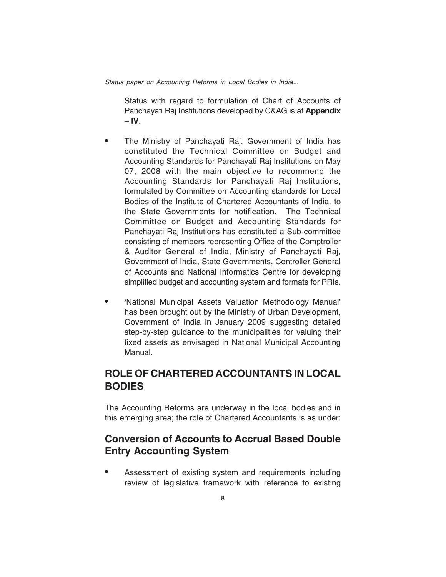Status with regard to formulation of Chart of Accounts of Panchayati Raj Institutions developed by C&AG is at **Appendix – IV**.

- The Ministry of Panchayati Raj, Government of India has constituted the Technical Committee on Budget and Accounting Standards for Panchayati Raj Institutions on May 07, 2008 with the main objective to recommend the Accounting Standards for Panchayati Raj Institutions, formulated by Committee on Accounting standards for Local Bodies of the Institute of Chartered Accountants of India, to the State Governments for notification. The Technical Committee on Budget and Accounting Standards for Panchayati Raj Institutions has constituted a Sub-committee consisting of members representing Office of the Comptroller & Auditor General of India, Ministry of Panchayati Raj, Government of India, State Governments, Controller General of Accounts and National Informatics Centre for developing simplified budget and accounting system and formats for PRIs.
- 'National Municipal Assets Valuation Methodology Manual' has been brought out by the Ministry of Urban Development, Government of India in January 2009 suggesting detailed step-by-step guidance to the municipalities for valuing their fixed assets as envisaged in National Municipal Accounting Manual.

### **ROLE OF CHARTERED ACCOUNTANTS IN LOCAL BODIES**

The Accounting Reforms are underway in the local bodies and in this emerging area; the role of Chartered Accountants is as under:

### **Conversion of Accounts to Accrual Based Double Entry Accounting System**

• Assessment of existing system and requirements including review of legislative framework with reference to existing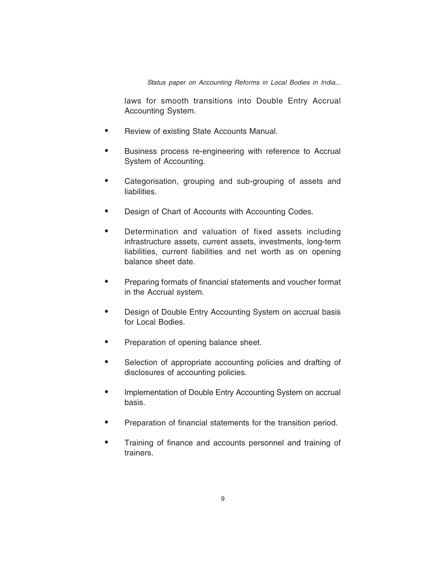laws for smooth transitions into Double Entry Accrual Accounting System.

- Review of existing State Accounts Manual.
- Business process re-engineering with reference to Accrual System of Accounting.
- Categorisation, grouping and sub-grouping of assets and liabilities.
- Design of Chart of Accounts with Accounting Codes.
- Determination and valuation of fixed assets including infrastructure assets, current assets, investments, long-term liabilities, current liabilities and net worth as on opening balance sheet date.
- Preparing formats of financial statements and voucher format in the Accrual system.
- Design of Double Entry Accounting System on accrual basis for Local Bodies.
- Preparation of opening balance sheet.
- Selection of appropriate accounting policies and drafting of disclosures of accounting policies.
- Implementation of Double Entry Accounting System on accrual basis.
- Preparation of financial statements for the transition period.
- Training of finance and accounts personnel and training of trainers.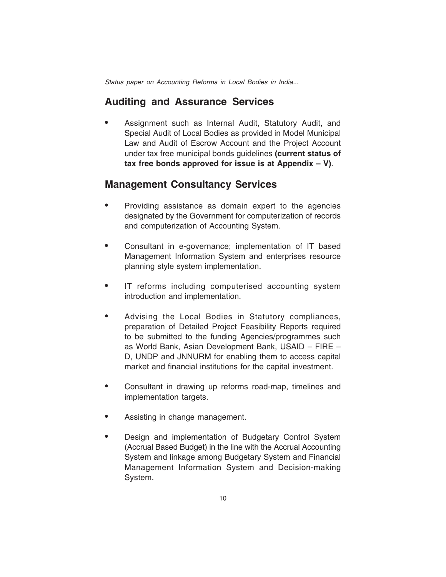#### **Auditing and Assurance Services**

• Assignment such as Internal Audit, Statutory Audit, and Special Audit of Local Bodies as provided in Model Municipal Law and Audit of Escrow Account and the Project Account under tax free municipal bonds guidelines **(current status of tax free bonds approved for issue is at Appendix – V)**.

#### **Management Consultancy Services**

- Providing assistance as domain expert to the agencies designated by the Government for computerization of records and computerization of Accounting System.
- Consultant in e-governance; implementation of IT based Management Information System and enterprises resource planning style system implementation.
- IT reforms including computerised accounting system introduction and implementation.
- Advising the Local Bodies in Statutory compliances, preparation of Detailed Project Feasibility Reports required to be submitted to the funding Agencies/programmes such as World Bank, Asian Development Bank, USAID – FIRE – D, UNDP and JNNURM for enabling them to access capital market and financial institutions for the capital investment.
- Consultant in drawing up reforms road-map, timelines and implementation targets.
- Assisting in change management.
- Design and implementation of Budgetary Control System (Accrual Based Budget) in the line with the Accrual Accounting System and linkage among Budgetary System and Financial Management Information System and Decision-making System.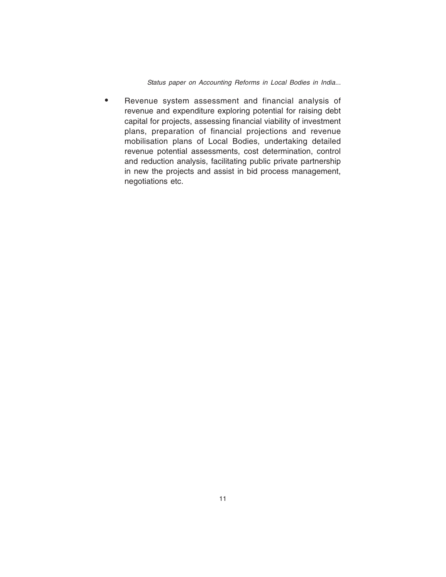• Revenue system assessment and financial analysis of revenue and expenditure exploring potential for raising debt capital for projects, assessing financial viability of investment plans, preparation of financial projections and revenue mobilisation plans of Local Bodies, undertaking detailed revenue potential assessments, cost determination, control and reduction analysis, facilitating public private partnership in new the projects and assist in bid process management, negotiations etc.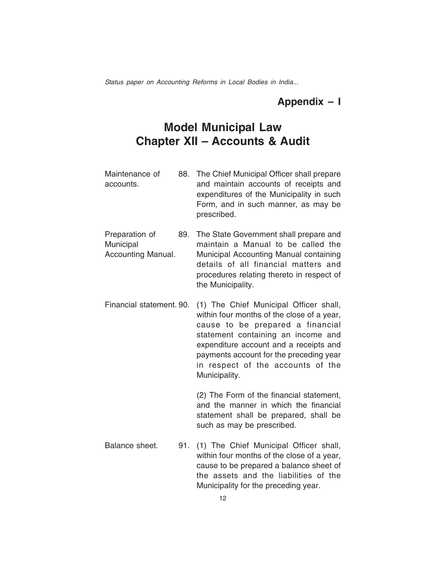### **Appendix – I**

### **Model Municipal Law Chapter XII – Accounts & Audit**

- Maintenance of 88. The Chief Municipal Officer shall prepare accounts. and maintain accounts of receipts and expenditures of the Municipality in such Form, and in such manner, as may be prescribed.
- Preparation of 89. The State Government shall prepare and Municipal maintain a Manual to be called the Accounting Manual. Municipal Accounting Manual containing details of all financial matters and procedures relating thereto in respect of the Municipality.
- Financial statement. 90. (1) The Chief Municipal Officer shall, within four months of the close of a year, cause to be prepared a financial statement containing an income and expenditure account and a receipts and payments account for the preceding year in respect of the accounts of the Municipality.

(2) The Form of the financial statement, and the manner in which the financial statement shall be prepared, shall be such as may be prescribed.

Balance sheet. 91. (1) The Chief Municipal Officer shall, within four months of the close of a year, cause to be prepared a balance sheet of the assets and the liabilities of the Municipality for the preceding year.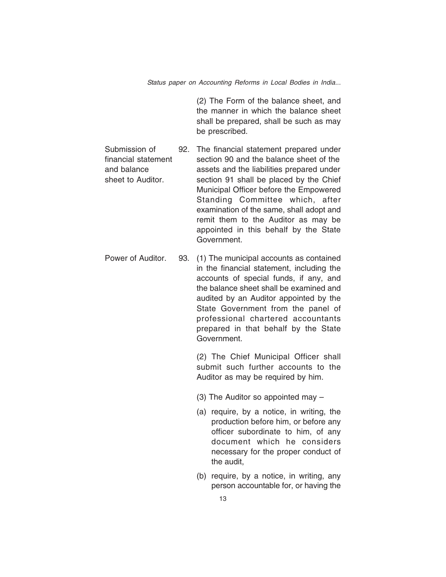(2) The Form of the balance sheet, and the manner in which the balance sheet shall be prepared, shall be such as may be prescribed.

- Submission of 92. The financial statement prepared under financial statement section 90 and the balance sheet of the and balance assets and the liabilities prepared under sheet to Auditor. section 91 shall be placed by the Chief Municipal Officer before the Empowered Standing Committee which, after examination of the same, shall adopt and remit them to the Auditor as may be appointed in this behalf by the State Government.
- Power of Auditor. 93. (1) The municipal accounts as contained in the financial statement, including the accounts of special funds, if any, and the balance sheet shall be examined and audited by an Auditor appointed by the State Government from the panel of professional chartered accountants prepared in that behalf by the State Government.

(2) The Chief Municipal Officer shall submit such further accounts to the Auditor as may be required by him.

- (3) The Auditor so appointed may –
- (a) require, by a notice, in writing, the production before him, or before any officer subordinate to him, of any document which he considers necessary for the proper conduct of the audit,
- (b) require, by a notice, in writing, any person accountable for, or having the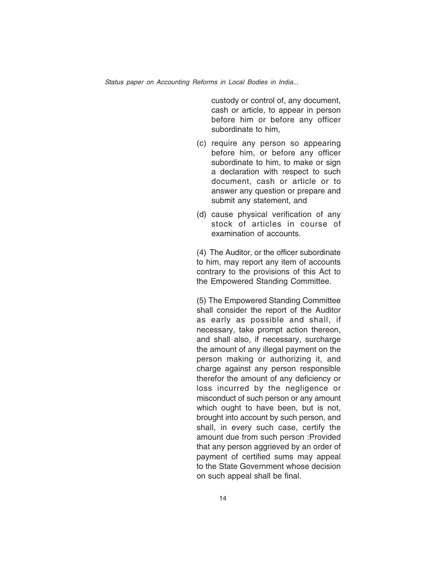custody or control of, any document, cash or article, to appear in person before him or before any officer subordinate to him,

- (c) require any person so appearing before him, or before any officer subordinate to him, to make or sign a declaration with respect to such document, cash or article or to answer any question or prepare and submit any statement, and
- (d) cause physical verification of any stock of articles in course of examination of accounts.

(4) The Auditor, or the officer subordinate to him, may report any item of accounts contrary to the provisions of this Act to the Empowered Standing Committee.

(5) The Empowered Standing Committee shall consider the report of the Auditor as early as possible and shall, if necessary, take prompt action thereon, and shall also, if necessary, surcharge the amount of any illegal payment on the person making or authorizing it, and charge against any person responsible therefor the amount of any deficiency or loss incurred by the negligence or misconduct of such person or any amount which ought to have been, but is not, brought into account by such person, and shall, in every such case, certify the amount due from such person :Provided that any person aggrieved by an order of payment of certified sums may appeal to the State Government whose decision on such appeal shall be final.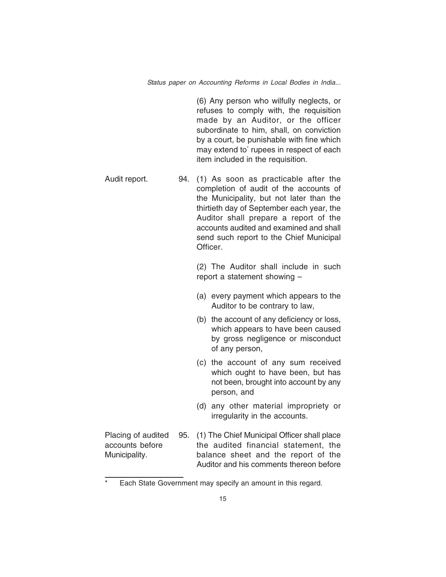(6) Any person who wilfully neglects, or refuses to comply with, the requisition made by an Auditor, or the officer subordinate to him, shall, on conviction by a court, be punishable with fine which may extend to<sup>\*</sup> rupees in respect of each item included in the requisition.

Audit report. 94. (1) As soon as practicable after the completion of audit of the accounts of the Municipality, but not later than the thirtieth day of September each year, the Auditor shall prepare a report of the accounts audited and examined and shall send such report to the Chief Municipal Officer.

> (2) The Auditor shall include in such report a statement showing –

- (a) every payment which appears to the Auditor to be contrary to law,
- (b) the account of any deficiency or loss, which appears to have been caused by gross negligence or misconduct of any person,
- (c) the account of any sum received which ought to have been, but has not been, brought into account by any person, and
- (d) any other material impropriety or irregularity in the accounts.

Placing of audited 95. (1) The Chief Municipal Officer shall place accounts before the audited financial statement, the Municipality. balance sheet and the report of the Auditor and his comments thereon before

Each State Government may specify an amount in this regard.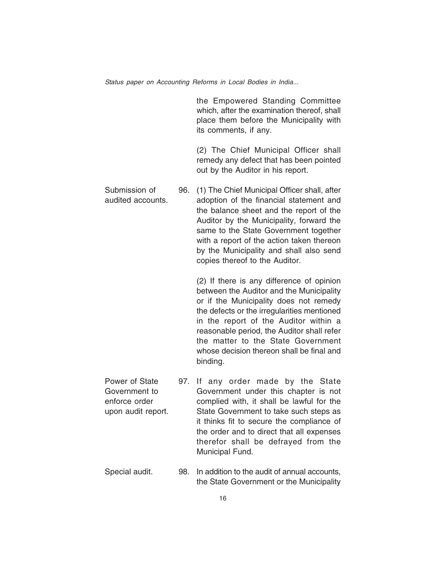the Empowered Standing Committee which, after the examination thereof, shall place them before the Municipality with its comments, if any.

(2) The Chief Municipal Officer shall remedy any defect that has been pointed out by the Auditor in his report.

Submission of 96. (1) The Chief Municipal Officer shall, after audited accounts. adoption of the financial statement and the balance sheet and the report of the Auditor by the Municipality, forward the same to the State Government together with a report of the action taken thereon by the Municipality and shall also send copies thereof to the Auditor.

> (2) If there is any difference of opinion between the Auditor and the Municipality or if the Municipality does not remedy the defects or the irregularities mentioned in the report of the Auditor within a reasonable period, the Auditor shall refer the matter to the State Government whose decision thereon shall be final and binding.

- Power of State 97. If any order made by the State Government to Government under this chapter is not enforce order complied with, it shall be lawful for the upon audit report. State Government to take such steps as it thinks fit to secure the compliance of the order and to direct that all expenses therefor shall be defrayed from the Municipal Fund.
- Special audit. 98. In addition to the audit of annual accounts, the State Government or the Municipality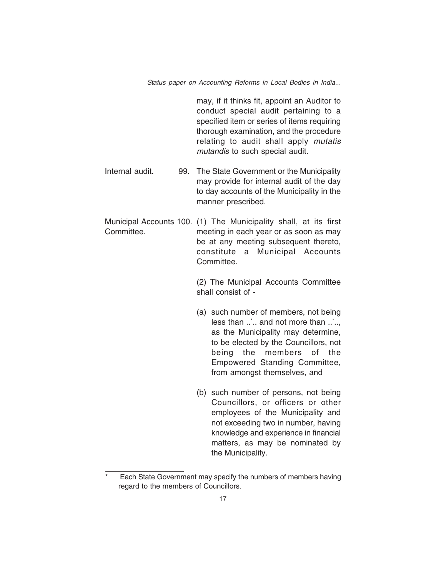may, if it thinks fit, appoint an Auditor to conduct special audit pertaining to a specified item or series of items requiring thorough examination, and the procedure relating to audit shall apply *mutatis* mutandis to such special audit.

Internal audit. 99. The State Government or the Municipality may provide for internal audit of the day to day accounts of the Municipality in the manner prescribed.

Municipal Accounts 100. (1) The Municipality shall, at its first Committee. meeting in each year or as soon as may be at any meeting subsequent thereto, constitute a Municipal Accounts Committee.

> (2) The Municipal Accounts Committee shall consist of -

- (a) such number of members, not being less than ..'.. and not more than ..'.., as the Municipality may determine, to be elected by the Councillors, not being the members of the Empowered Standing Committee, from amongst themselves, and
- (b) such number of persons, not being Councillors, or officers or other employees of the Municipality and not exceeding two in number, having knowledge and experience in financial matters, as may be nominated by the Municipality.

Each State Government may specify the numbers of members having regard to the members of Councillors.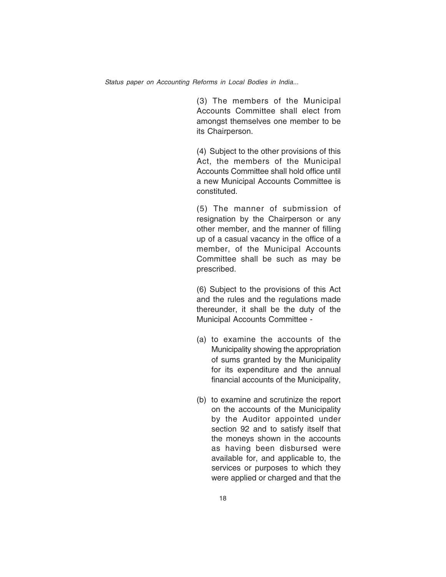(3) The members of the Municipal Accounts Committee shall elect from amongst themselves one member to be its Chairperson.

(4) Subject to the other provisions of this Act, the members of the Municipal Accounts Committee shall hold office until a new Municipal Accounts Committee is constituted.

(5) The manner of submission of resignation by the Chairperson or any other member, and the manner of filling up of a casual vacancy in the office of a member, of the Municipal Accounts Committee shall be such as may be prescribed.

(6) Subject to the provisions of this Act and the rules and the regulations made thereunder, it shall be the duty of the Municipal Accounts Committee -

- (a) to examine the accounts of the Municipality showing the appropriation of sums granted by the Municipality for its expenditure and the annual financial accounts of the Municipality,
- (b) to examine and scrutinize the report on the accounts of the Municipality by the Auditor appointed under section 92 and to satisfy itself that the moneys shown in the accounts as having been disbursed were available for, and applicable to, the services or purposes to which they were applied or charged and that the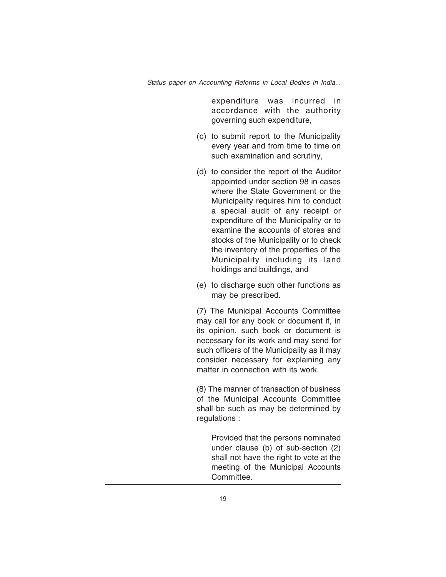expenditure was incurred in accordance with the authority governing such expenditure,

- (c) to submit report to the Municipality every year and from time to time on such examination and scrutiny,
- (d) to consider the report of the Auditor appointed under section 98 in cases where the State Government or the Municipality requires him to conduct a special audit of any receipt or expenditure of the Municipality or to examine the accounts of stores and stocks of the Municipality or to check the inventory of the properties of the Municipality including its land holdings and buildings, and
- (e) to discharge such other functions as may be prescribed.

(7) The Municipal Accounts Committee may call for any book or document if, in its opinion, such book or document is necessary for its work and may send for such officers of the Municipality as it may consider necessary for explaining any matter in connection with its work.

(8) The manner of transaction of business of the Municipal Accounts Committee shall be such as may be determined by regulations :

> Provided that the persons nominated under clause (b) of sub-section (2) shall not have the right to vote at the meeting of the Municipal Accounts Committee.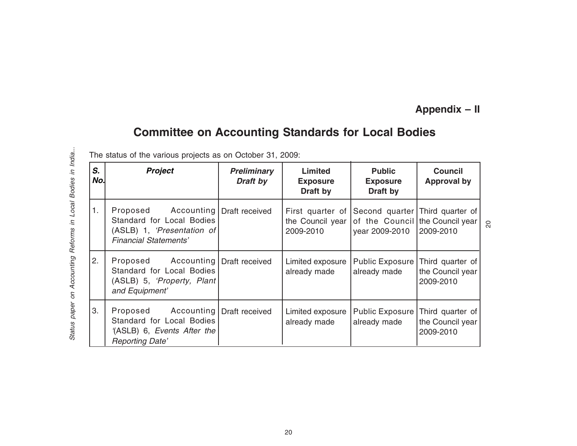# **Appendix – II**

# **Committee on Accounting Standards for Local Bodies**

The status of the various projects as on October 31, 2009:

| S.<br>No. | <b>Project</b>                                                                                                                  | <b>Preliminary</b><br>Draft by | Limited<br><b>Exposure</b><br>Draft by            | <b>Public</b><br><b>Exposure</b><br>Draft by                                         | <b>Council</b><br><b>Approval by</b>              |          |
|-----------|---------------------------------------------------------------------------------------------------------------------------------|--------------------------------|---------------------------------------------------|--------------------------------------------------------------------------------------|---------------------------------------------------|----------|
| 1.        | Proposed Accounting   Draft received<br>Standard for Local Bodies<br>(ASLB) 1, 'Presentation of<br><b>Financial Statements'</b> |                                | First quarter of<br>the Council year<br>2009-2010 | Second quarter Third quarter of<br>of the Council the Council year<br>year 2009-2010 | 2009-2010                                         | $\infty$ |
| 2.        | Proposed Accounting   Draft received<br>Standard for Local Bodies<br>(ASLB) 5, 'Property, Plant<br>and Equipment'               |                                | Limited exposure<br>already made                  | Public Exposure<br>already made                                                      | Third quarter of<br>the Council year<br>2009-2010 |          |
| 3.        | Proposed Accounting   Draft received<br>Standard for Local Bodies<br>(ASLB) 6, Events After the<br>Reporting Date'              |                                | Limited exposure<br>already made                  | Public Exposure<br>already made                                                      | Third quarter of<br>the Council year<br>2009-2010 |          |

Status paper on Accounting Reforms in Local Bodies in India... Status paper on Accounting Reforms in Local Bodies in India...

20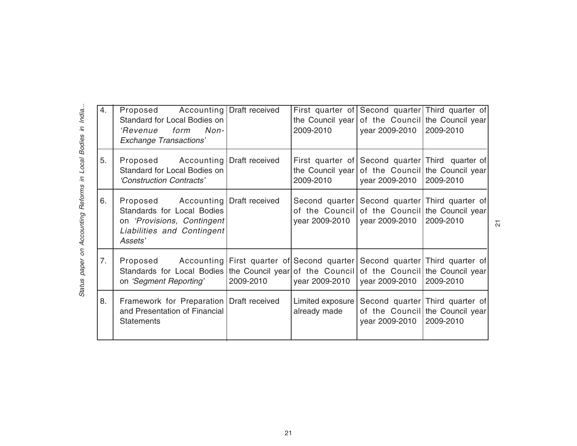| 4. | Proposed Accounting Draft received<br>Standard for Local Bodies on<br>Non-<br>'Revenue<br>form<br><b>Exchange Transactions'</b>                                             |           | 2009-2010                        | First quarter of Second quarter Third quarter of<br>the Council year of the Council the Council year<br>year 2009-2010 | 2009-2010                                                                       |
|----|-----------------------------------------------------------------------------------------------------------------------------------------------------------------------------|-----------|----------------------------------|------------------------------------------------------------------------------------------------------------------------|---------------------------------------------------------------------------------|
| 5. | Proposed Accounting Draft received<br>Standard for Local Bodies on<br>'Construction Contracts'                                                                              |           | the Council year<br>2009-2010    | First quarter of Second quarter Third quarter of<br>of the Council the Council year<br>year 2009-2010                  | 2009-2010                                                                       |
| 6. | Proposed Accounting Draft received<br>Standards for Local Bodies<br>on 'Provisions, Contingent<br>Liabilities and Contingent<br>Assets'                                     |           | year 2009-2010                   | Second quarter Second quarter Third quarter of<br>of the Council of the Council the Council year<br>year 2009-2010     | 2009-2010                                                                       |
| 7. | Proposed Accounting First quarter of Second quarter Second quarter Third quarter of<br>Standards for Local Bodies the Council year of the Council<br>on 'Segment Reporting' | 2009-2010 | year 2009-2010                   | year 2009-2010                                                                                                         | of the Council the Council year<br>2009-2010                                    |
| 8. | Framework for Preparation   Draft received<br>and Presentation of Financial<br><b>Statements</b>                                                                            |           | Limited exposure<br>already made | year 2009-2010                                                                                                         | Second quarter Third quarter of<br>of the Council the Council year<br>2009-2010 |

 $\overline{\mathsf{Q}}$ 

Status paper on Accounting Reforms in Local Bodies in India ... Status paper on Accounting Reforms in Local Bodies in India...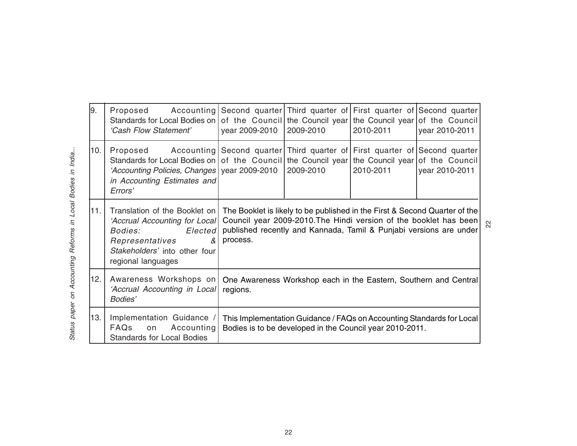| 9.  | Proposed<br>Standards for Local Bodies on of the Council the Council year the Council year of the Council<br>'Cash Flow Statement'                                                                                                                                               | year 2009-2010                                                                                                                                                                                                                    | Accounting Second quarter Third quarter of First quarter of Second quarter<br>2009-2010 | 2010-2011 | year 2010-2011 |  |
|-----|----------------------------------------------------------------------------------------------------------------------------------------------------------------------------------------------------------------------------------------------------------------------------------|-----------------------------------------------------------------------------------------------------------------------------------------------------------------------------------------------------------------------------------|-----------------------------------------------------------------------------------------|-----------|----------------|--|
| 10. | Proposed Accounting Second quarter Third quarter of First quarter of Second quarter<br>Standards for Local Bodies on of the Council the Council year the Council year of the Council<br>'Accounting Policies, Changes   year 2009-2010<br>in Accounting Estimates and<br>Errors' |                                                                                                                                                                                                                                   | 2009-2010                                                                               | 2010-2011 | year 2010-2011 |  |
| 11. | Translation of the Booklet on<br>'Accrual Accounting for Local<br><i>Bodies:</i><br>Elected<br>Representatives<br>$\mathcal{S}_{\mathcal{C}}$<br>Stakeholders' into other four<br>regional languages                                                                             | The Booklet is likely to be published in the First & Second Quarter of the<br>Council year 2009-2010. The Hindi version of the booklet has been<br>published recently and Kannada, Tamil & Punjabi versions are under<br>process. |                                                                                         |           |                |  |
| 12. | Awareness Workshops on<br>'Accrual Accounting in Local<br>Bodies'                                                                                                                                                                                                                | One Awareness Workshop each in the Eastern, Southern and Central<br>regions.                                                                                                                                                      |                                                                                         |           |                |  |
| 13. | Implementation Guidance /<br>FAQs<br>Accounting<br>on<br><b>Standards for Local Bodies</b>                                                                                                                                                                                       | This Implementation Guidance / FAQs on Accounting Standards for Local<br>Bodies is to be developed in the Council year 2010-2011.                                                                                                 |                                                                                         |           |                |  |

 $\approx$ 

Status paper on Accounting Reforms in Local Bodies in India... Status paper on Accounting Reforms in Local Bodies in India...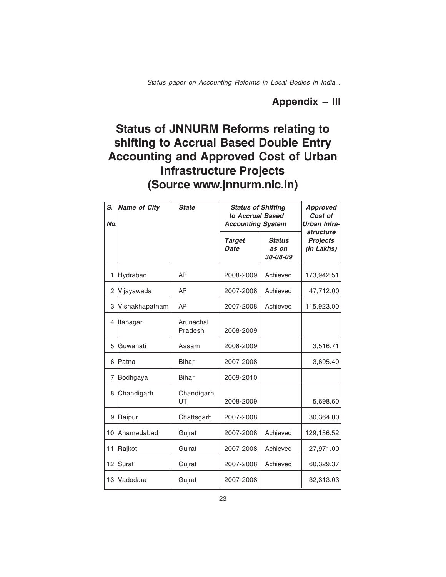### **Appendix – III**

# **Status of JNNURM Reforms relating to shifting to Accrual Based Double Entry Accounting and Approved Cost of Urban Infrastructure Projects (Source www.jnnurm.nic.in)**

| S.<br>No. | <b>Name of City</b> | <b>State</b>         | <b>Status of Shifting</b><br>to Accrual Based<br><b>Accounting System</b> | <b>Approved</b><br>Cost of<br>Urban Infra- |                                            |
|-----------|---------------------|----------------------|---------------------------------------------------------------------------|--------------------------------------------|--------------------------------------------|
|           |                     |                      | <b>Target</b><br><b>Date</b>                                              | <b>Status</b><br>as on<br>30-08-09         | structure<br><b>Projects</b><br>(In Lakhs) |
| 1         | Hydrabad            | AP                   | 2008-2009                                                                 | Achieved                                   | 173,942.51                                 |
| 2         | Vijayawada          | AP                   | 2007-2008                                                                 | Achieved                                   | 47,712.00                                  |
| 3         | Vishakhapatnam      | AP                   | 2007-2008                                                                 | Achieved                                   | 115,923.00                                 |
| 4         | Itanagar            | Arunachal<br>Pradesh | 2008-2009                                                                 |                                            |                                            |
| 5         | Guwahati            | Assam                | 2008-2009                                                                 |                                            | 3,516.71                                   |
| 6         | lPatna              | <b>Bihar</b>         | 2007-2008                                                                 |                                            | 3,695.40                                   |
| 7         | Bodhgaya            | <b>Bihar</b>         | 2009-2010                                                                 |                                            |                                            |
| 8         | Chandigarh          | Chandigarh<br>UT     | 2008-2009                                                                 |                                            | 5,698.60                                   |
| 9         | Raipur              | Chattsgarh           | 2007-2008                                                                 |                                            | 30,364.00                                  |
| 10        | Ahamedabad          | Gujrat               | 2007-2008                                                                 | Achieved                                   | 129,156.52                                 |
| 11        | Rajkot              | Gujrat               | 2007-2008                                                                 | Achieved                                   | 27,971.00                                  |
| 12        | lSurat              | Gujrat               | 2007-2008                                                                 | Achieved                                   | 60,329.37                                  |
| 13        | Vadodara            | Gujrat               | 2007-2008                                                                 |                                            | 32,313.03                                  |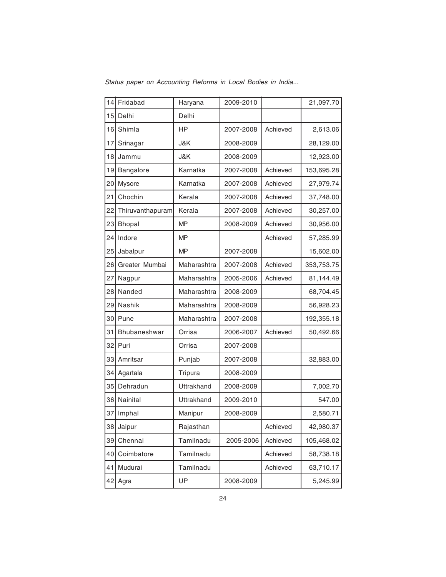Status paper on Accounting Reforms in Local Bodies in India...

| 14 | Fridabad         | Haryana        | 2009-2010 |          | 21,097.70  |
|----|------------------|----------------|-----------|----------|------------|
| 15 | Delhi            | Delhi          |           |          |            |
| 16 | Shimla           | <b>HP</b>      | 2007-2008 | Achieved | 2,613.06   |
| 17 | Srinagar         | J&K            | 2008-2009 |          | 28,129.00  |
| 18 | Jammu            | <b>J&amp;K</b> | 2008-2009 |          | 12,923.00  |
| 19 | Bangalore        | Karnatka       | 2007-2008 | Achieved | 153,695.28 |
| 20 | Mysore           | Karnatka       | 2007-2008 | Achieved | 27,979.74  |
| 21 | Chochin          | Kerala         | 2007-2008 | Achieved | 37,748.00  |
| 22 | Thiruvanthapuram | Kerala         | 2007-2008 | Achieved | 30,257.00  |
| 23 | <b>Bhopal</b>    | <b>MP</b>      | 2008-2009 | Achieved | 30,956.00  |
| 24 | Indore           | <b>MP</b>      |           | Achieved | 57,285.99  |
| 25 | Jabalpur         | <b>MP</b>      | 2007-2008 |          | 15,602.00  |
| 26 | Greater Mumbai   | Maharashtra    | 2007-2008 | Achieved | 353,753.75 |
| 27 | Nagpur           | Maharashtra    | 2005-2006 | Achieved | 81,144.49  |
| 28 | Nanded           | Maharashtra    | 2008-2009 |          | 68,704.45  |
| 29 | Nashik           | Maharashtra    | 2008-2009 |          | 56,928.23  |
| 30 | Pune             | Maharashtra    | 2007-2008 |          | 192,355.18 |
| 31 | Bhubaneshwar     | Orrisa         | 2006-2007 | Achieved | 50,492.66  |
| 32 | Puri             | Orrisa         | 2007-2008 |          |            |
| 33 | Amritsar         | Punjab         | 2007-2008 |          | 32,883.00  |
| 34 | Agartala         | Tripura        | 2008-2009 |          |            |
| 35 | Dehradun         | Uttrakhand     | 2008-2009 |          | 7,002.70   |
| 36 | Nainital         | Uttrakhand     | 2009-2010 |          | 547.00     |
| 37 | Imphal           | Manipur        | 2008-2009 |          | 2,580.71   |
| 38 | Jaipur           | Rajasthan      |           | Achieved | 42,980.37  |
| 39 | Chennai          | Tamilnadu      | 2005-2006 | Achieved | 105,468.02 |
| 40 | Coimbatore       | Tamilnadu      |           | Achieved | 58,738.18  |
| 41 | Mudurai          | Tamilnadu      |           | Achieved | 63,710.17  |
| 42 | Agra             | UP             | 2008-2009 |          | 5,245.99   |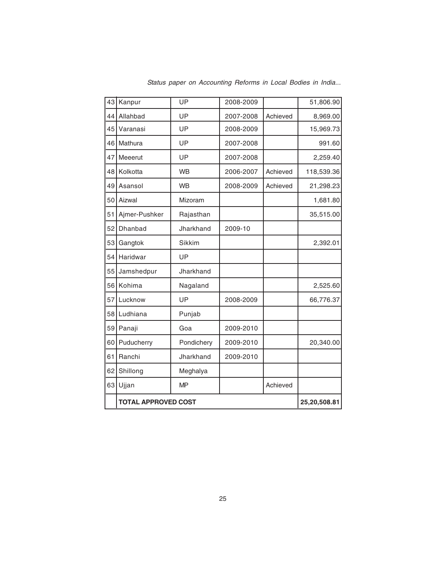| 43 | Kanpur                     | UP           | 2008-2009 |          | 51,806.90  |
|----|----------------------------|--------------|-----------|----------|------------|
| 44 | Allahbad                   | UP           | 2007-2008 | Achieved | 8,969.00   |
| 45 | Varanasi                   | UP           | 2008-2009 |          | 15,969.73  |
| 46 | Mathura                    | UP           | 2007-2008 |          | 991.60     |
| 47 | Meeerut                    | UP           | 2007-2008 |          | 2,259.40   |
| 48 | Kolkotta                   | <b>WB</b>    | 2006-2007 | Achieved | 118,539.36 |
| 49 | Asansol                    | <b>WB</b>    | 2008-2009 | Achieved | 21,298.23  |
| 50 | Aizwal                     | Mizoram      |           |          | 1,681.80   |
| 51 | Ajmer-Pushker              | Rajasthan    |           |          | 35,515.00  |
| 52 | Dhanbad                    | Jharkhand    | 2009-10   |          |            |
| 53 | Gangtok                    | Sikkim       |           |          | 2,392.01   |
| 54 | Haridwar                   | UP           |           |          |            |
| 55 | Jamshedpur                 | Jharkhand    |           |          |            |
| 56 | Kohima                     | Nagaland     |           |          | 2,525.60   |
| 57 | Lucknow                    | UP           | 2008-2009 |          | 66,776.37  |
| 58 | Ludhiana                   | Punjab       |           |          |            |
| 59 | Panaji                     | Goa          | 2009-2010 |          |            |
| 60 | Puducherry                 | Pondichery   | 2009-2010 |          | 20,340.00  |
| 61 | Ranchi                     | Jharkhand    | 2009-2010 |          |            |
| 62 | Shillong                   | Meghalya     |           |          |            |
| 63 | Ujjan                      | <b>MP</b>    |           | Achieved |            |
|    | <b>TOTAL APPROVED COST</b> | 25,20,508.81 |           |          |            |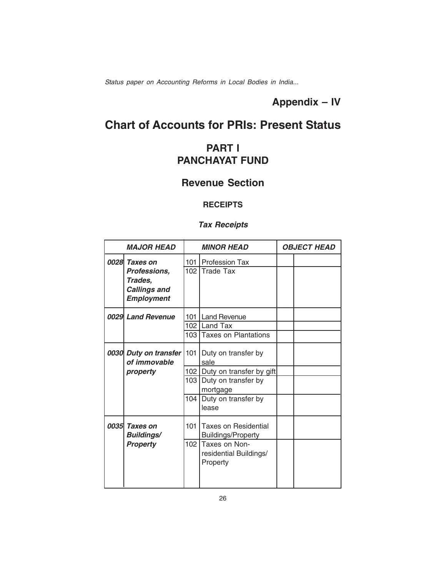### **Appendix – IV**

# **Chart of Accounts for PRIs: Present Status**

### **PART I PANCHAYAT FUND**

### **Revenue Section**

#### **RECEIPTS**

#### **Tax Receipts**

| <b>MAJOR HEAD</b> |                                          |     | <b>MINOR HEAD</b>                                        | <b>OBJECT HEAD</b> |
|-------------------|------------------------------------------|-----|----------------------------------------------------------|--------------------|
|                   | 0028 Taxes on                            |     | 101   Profession Tax                                     |                    |
|                   | Professions,                             |     | 102 Trade Tax                                            |                    |
|                   | Trades,                                  |     |                                                          |                    |
|                   | <b>Callings and</b><br><b>Employment</b> |     |                                                          |                    |
|                   | 0029 Land Revenue                        |     | 101 Land Revenue                                         |                    |
|                   |                                          |     | 102 Land Tax                                             |                    |
|                   |                                          | 103 | <b>Taxes on Plantations</b>                              |                    |
|                   | 0030 Duty on transfer<br>of immovable    | 101 | Duty on transfer by<br>sale                              |                    |
|                   | property                                 |     | 102   Duty on transfer by gift                           |                    |
|                   |                                          | 103 | Duty on transfer by<br>mortgage                          |                    |
|                   |                                          | 104 | Duty on transfer by<br>lease                             |                    |
|                   | 0035 Taxes on<br><b>Buildings/</b>       | 101 | <b>Taxes on Residential</b><br><b>Buildings/Property</b> |                    |
|                   | <b>Property</b>                          | 102 | Taxes on Non-<br>residential Buildings/<br>Property      |                    |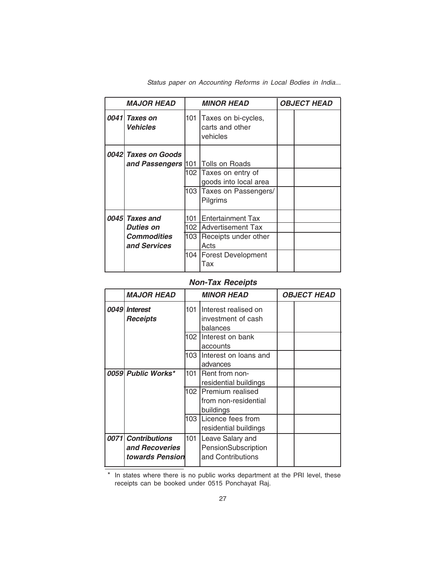| <b>MAJOR HEAD</b>                                           |       | <b>MINOR HEAD</b>                                  | <b>OBJECT HEAD</b> |
|-------------------------------------------------------------|-------|----------------------------------------------------|--------------------|
| 0041 Taxes on<br><b>Vehicles</b>                            | 101   | Taxes on bi-cycles,<br>carts and other<br>vehicles |                    |
| 0042 Taxes on Goods<br>and Passengers  101   Tolls on Roads |       |                                                    |                    |
|                                                             |       | 102 Taxes on entry of<br>goods into local area     |                    |
|                                                             |       | 103 Taxes on Passengers/<br>Pilgrims               |                    |
| 0045 Taxes and                                              |       | 101 I Entertainment Tax                            |                    |
| <b>Duties on</b>                                            |       | 102 Advertisement Tax                              |                    |
| <b>Commodities</b><br>and Services                          | 103   | Receipts under other<br>Acts                       |                    |
|                                                             | 104 I | <b>Forest Development</b><br>Tax                   |                    |

#### **Non-Tax Receipts**

| <b>MAJOR HEAD</b>                                       |     | <b>MINOR HEAD</b>                                            | <b>OBJECT HEAD</b> |
|---------------------------------------------------------|-----|--------------------------------------------------------------|--------------------|
| 0049 Interest<br><b>Receipts</b>                        | 101 | I Interest realised on<br>investment of cash<br>balances     |                    |
|                                                         |     | 102 Interest on bank<br>accounts                             |                    |
|                                                         |     | 103 Interest on loans and<br>advances                        |                    |
| 0059 Public Works*                                      | 101 | Rent from non-<br>residential buildings                      |                    |
|                                                         |     | 102   Premium realised<br>from non-residential<br>buildings  |                    |
|                                                         | 103 | Licence fees from<br>residential buildings                   |                    |
| 0071 Contributions<br>and Recoveries<br>towards Pension | 101 | Leave Salary and<br>PensionSubscription<br>and Contributions |                    |

\* In states where there is no public works department at the PRI level, these receipts can be booked under 0515 Ponchayat Raj.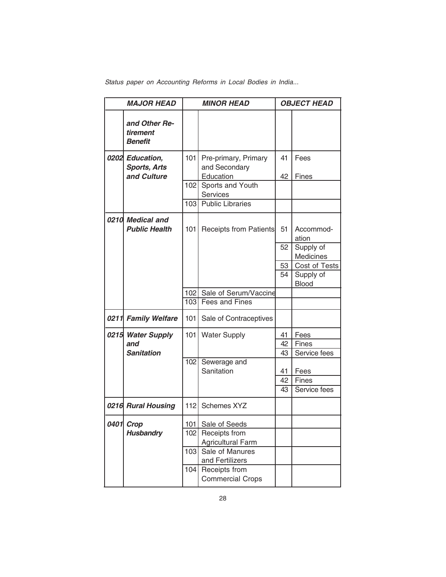|      | <b>MAJOR HEAD</b>                           |     | <b>MINOR HEAD</b>                        |    | <b>OBJECT HEAD</b>     |
|------|---------------------------------------------|-----|------------------------------------------|----|------------------------|
|      | and Other Re-<br>tirement<br><b>Benefit</b> |     |                                          |    |                        |
|      | 0202 Education,<br><b>Sports, Arts</b>      | 101 | Pre-primary, Primary<br>and Secondary    | 41 | Fees                   |
|      | and Culture                                 |     | Education                                | 42 | Fines                  |
|      |                                             | 102 | Sports and Youth<br><b>Services</b>      |    |                        |
|      |                                             | 103 | <b>Public Libraries</b>                  |    |                        |
| 0210 | <b>Medical and</b><br><b>Public Health</b>  | 101 | <b>Receipts from Patients</b>            | 51 | Accommod-<br>ation     |
|      |                                             |     |                                          | 52 | Supply of<br>Medicines |
|      |                                             |     |                                          | 53 | Cost of Tests          |
|      |                                             |     |                                          | 54 | Supply of<br>Blood     |
|      |                                             | 102 | Sale of Serum/Vaccine                    |    |                        |
|      |                                             | 103 | <b>Fees and Fines</b>                    |    |                        |
|      | 0211 Family Welfare                         | 101 | Sale of Contraceptives                   |    |                        |
|      | 0215 Water Supply                           | 101 | <b>Water Supply</b>                      | 41 | Fees                   |
|      | and                                         |     |                                          | 42 | Fines                  |
|      | <b>Sanitation</b>                           |     |                                          | 43 | Service fees           |
|      |                                             | 102 | Sewerage and<br>Sanitation               | 41 | Fees                   |
|      |                                             |     |                                          | 42 | Fines                  |
|      |                                             |     |                                          | 43 | Service fees           |
|      | 0216 Rural Housing                          | 112 | <b>Schemes XYZ</b>                       |    |                        |
|      | 0401 Crop                                   |     | 101 Sale of Seeds                        |    |                        |
|      | <b>Husbandry</b>                            | 102 | Receipts from                            |    |                        |
|      |                                             |     | Agricultural Farm                        |    |                        |
|      |                                             | 103 | Sale of Manures                          |    |                        |
|      |                                             |     | and Fertilizers                          |    |                        |
|      |                                             | 104 | Receipts from<br><b>Commercial Crops</b> |    |                        |
|      |                                             |     |                                          |    |                        |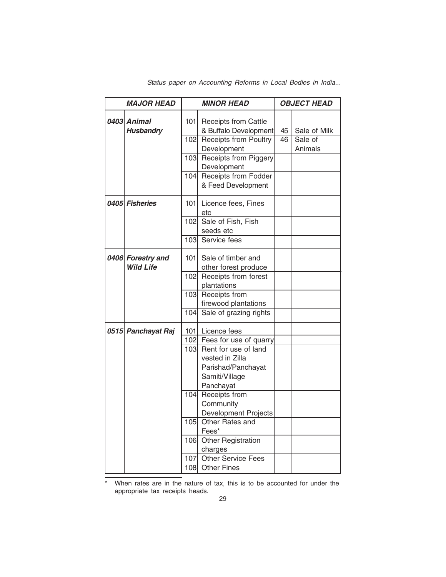| <b>MAJOR HEAD</b>                     |                  | <b>MINOR HEAD</b>                                    |    | <b>OBJECT HEAD</b> |
|---------------------------------------|------------------|------------------------------------------------------|----|--------------------|
| 0403 Animal<br><b>Husbandry</b>       | 101              | <b>Receipts from Cattle</b><br>& Buffalo Development | 45 | Sale of Milk       |
|                                       | 102              | <b>Receipts from Poultry</b><br>Development          | 46 | Sale of<br>Animals |
|                                       | 103              | <b>Receipts from Piggery</b><br>Development          |    |                    |
|                                       | 104              | Receipts from Fodder<br>& Feed Development           |    |                    |
| 0405 Fisheries                        | 101              | Licence fees, Fines<br>etc                           |    |                    |
|                                       |                  | 102 Sale of Fish, Fish<br>seeds etc                  |    |                    |
|                                       | 103 <sub>l</sub> | Service fees                                         |    |                    |
| 0406 Forestry and<br><b>Wild Life</b> | 101              | Sale of timber and<br>other forest produce           |    |                    |
|                                       | 102              | Receipts from forest<br>plantations                  |    |                    |
|                                       | 103              | Receipts from<br>firewood plantations                |    |                    |
|                                       | 104              | Sale of grazing rights                               |    |                    |
| 0515 Panchayat Raj                    |                  | 101 Licence fees                                     |    |                    |
|                                       |                  | 102 Fees for use of quarry                           |    |                    |
|                                       |                  | 103 Rent for use of land<br>vested in Zilla          |    |                    |
|                                       |                  | Parishad/Panchayat                                   |    |                    |
|                                       |                  | Samiti/Village                                       |    |                    |
|                                       |                  | Panchayat                                            |    |                    |
|                                       | 104              | Receipts from                                        |    |                    |
|                                       |                  | Community                                            |    |                    |
|                                       |                  | <b>Development Projects</b>                          |    |                    |
|                                       | 105              | Other Rates and<br>Fees*                             |    |                    |
|                                       | 106              | <b>Other Registration</b>                            |    |                    |
|                                       |                  | charges                                              |    |                    |
|                                       | 107              | Other Service Fees                                   |    |                    |
|                                       | 108              | <b>Other Fines</b>                                   |    |                    |

\* When rates are in the nature of tax, this is to be accounted for under the appropriate tax receipts heads.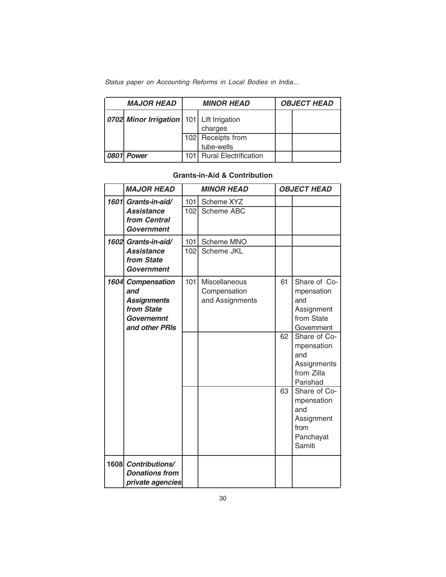| <b>MAJOR HEAD</b>                             | <b>MINOR HEAD</b>               | <b>OBJECT HEAD</b> |
|-----------------------------------------------|---------------------------------|--------------------|
| 0702 Minor Irrigation   101   Lift Irrigation | charges                         |                    |
|                                               | 102 Receipts from<br>tube-wells |                    |
| 0801   Power                                  | 101 Rural Electrification       |                    |

#### **Grants-in-Aid & Contribution**

|      | <b>MAJOR HEAD</b>                                                                              |                         | <b>MINOR HEAD</b>                                | <b>OBJECT HEAD</b> |                                                                                                                                                           |  |
|------|------------------------------------------------------------------------------------------------|-------------------------|--------------------------------------------------|--------------------|-----------------------------------------------------------------------------------------------------------------------------------------------------------|--|
|      | 1601 Grants-in-aid/<br><b>Assistance</b><br>from Central<br>Government                         | 101<br>102 <sub>l</sub> | Scheme XYZ<br>Scheme ABC                         |                    |                                                                                                                                                           |  |
|      | 1602 Grants-in-aid/<br><b>Assistance</b><br>from State<br>Government                           | 101<br>102              | Scheme MNO<br>Scheme JKL                         |                    |                                                                                                                                                           |  |
| 1604 | Compensation<br>and<br><b>Assignments</b><br>from State<br><b>Governemnt</b><br>and other PRIs | 101                     | Miscellaneous<br>Compensation<br>and Assignments | 61<br>62           | Share of Co-<br>mpensation<br>and<br>Assignment<br>from State<br>Government<br>Share of Co-<br>mpensation<br>and<br>Assignments<br>from Zilla<br>Parishad |  |
|      |                                                                                                |                         |                                                  | 63                 | Share of Co-<br>mpensation<br>and<br>Assignment<br>from<br>Panchayat<br>Samiti                                                                            |  |
| 1608 | <b>Contributions/</b><br><b>Donations from</b><br>private agencies                             |                         |                                                  |                    |                                                                                                                                                           |  |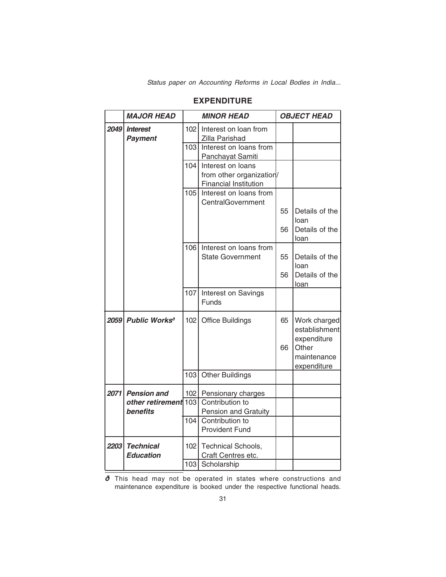|      | <b>MAJOR HEAD</b>                        | <b>MINOR HEAD</b> |                                                                               | <i><b>OBJECT HEAD</b></i> |                                              |  |
|------|------------------------------------------|-------------------|-------------------------------------------------------------------------------|---------------------------|----------------------------------------------|--|
| 2049 | <i><b>Interest</b></i><br><b>Payment</b> | 102               | Interest on loan from<br>Zilla Parishad                                       |                           |                                              |  |
|      |                                          | 103               | Interest on loans from<br>Panchayat Samiti                                    |                           |                                              |  |
|      |                                          | 104               | Interest on loans<br>from other organization/<br><b>Financial Institution</b> |                           |                                              |  |
|      |                                          | 105               | Interest on loans from<br>CentralGovernment                                   | 55                        | Details of the                               |  |
|      |                                          |                   |                                                                               | 56                        | loan<br>Details of the<br>loan               |  |
|      |                                          | 106               | Interest on loans from<br><b>State Government</b>                             | 55                        | Details of the<br>loan                       |  |
|      |                                          |                   |                                                                               | 56                        | Details of the<br>loan                       |  |
|      |                                          | 107               | Interest on Savings<br>Funds                                                  |                           |                                              |  |
| 2059 | <b>Public Works<sup>8</sup></b>          | 102               | <b>Office Buildings</b>                                                       | 65                        | Work charged<br>establishment<br>expenditure |  |
|      |                                          |                   |                                                                               | 66                        | Other<br>maintenance<br>expenditure          |  |
|      |                                          | 103               | <b>Other Buildings</b>                                                        |                           |                                              |  |
| 2071 | <b>Pension and</b>                       |                   | 102   Pensionary charges                                                      |                           |                                              |  |
|      | other retirement 103<br><b>benefits</b>  |                   | Contribution to<br>Pension and Gratuity                                       |                           |                                              |  |
|      |                                          | 104               | Contribution to<br><b>Provident Fund</b>                                      |                           |                                              |  |
| 2203 | <b>Technical</b><br><b>Education</b>     | 102               | <b>Technical Schools,</b><br>Craft Centres etc.                               |                           |                                              |  |
|      |                                          | 103               | Scholarship                                                                   |                           |                                              |  |

#### **EXPENDITURE**

**ð** This head may not be operated in states where constructions and maintenance expenditure is booked under the respective functional heads.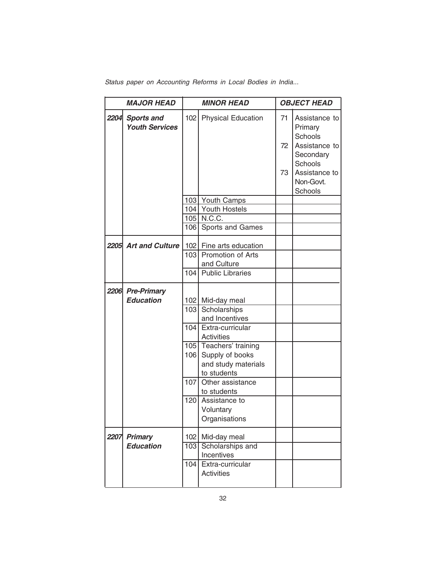| <b>MAJOR HEAD</b> |                                            |     | <b>MINOR HEAD</b>                                                                       | <b>OBJECT HEAD</b> |                                                                                                                       |  |  |
|-------------------|--------------------------------------------|-----|-----------------------------------------------------------------------------------------|--------------------|-----------------------------------------------------------------------------------------------------------------------|--|--|
| 2204              | <b>Sports and</b><br><b>Youth Services</b> | 102 | <b>Physical Education</b>                                                               | 71<br>72<br>73     | Assistance to<br>Primary<br>Schools<br>Assistance to<br>Secondary<br>Schools<br>Assistance to<br>Non-Govt.<br>Schools |  |  |
|                   |                                            |     | 103 Youth Camps                                                                         |                    |                                                                                                                       |  |  |
|                   |                                            |     | 104 Youth Hostels                                                                       |                    |                                                                                                                       |  |  |
|                   |                                            |     | 105 N.C.C.                                                                              |                    |                                                                                                                       |  |  |
|                   |                                            |     | 106 Sports and Games                                                                    |                    |                                                                                                                       |  |  |
|                   | 2205 Art and Culture                       |     | 102 Fine arts education<br>103 Promotion of Arts<br>and Culture<br>104 Public Libraries |                    |                                                                                                                       |  |  |
|                   |                                            |     |                                                                                         |                    |                                                                                                                       |  |  |
|                   | 2206 Pre-Primary<br><b>Education</b>       | 103 | 102 Mid-day meal<br>Scholarships                                                        |                    |                                                                                                                       |  |  |
|                   |                                            |     | and Incentives                                                                          |                    |                                                                                                                       |  |  |
|                   |                                            | 104 | Extra-curricular<br>Activities                                                          |                    |                                                                                                                       |  |  |
|                   |                                            | 106 | 105 Teachers' training<br>Supply of books<br>and study materials<br>to students         |                    |                                                                                                                       |  |  |
|                   |                                            | 107 | Other assistance<br>to students                                                         |                    |                                                                                                                       |  |  |
|                   |                                            | 120 | Assistance to<br>Voluntary<br>Organisations                                             |                    |                                                                                                                       |  |  |
|                   | 2207 Primary                               | 102 | Mid-day meal                                                                            |                    |                                                                                                                       |  |  |
|                   | <b>Education</b>                           | 103 | Scholarships and<br>Incentives                                                          |                    |                                                                                                                       |  |  |
|                   |                                            | 104 | Extra-curricular<br><b>Activities</b>                                                   |                    |                                                                                                                       |  |  |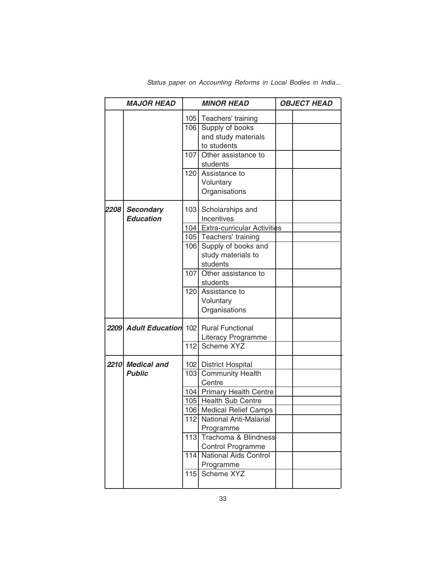| <b>MAJOR HEAD</b> |                                           |                  | <b>MINOR HEAD</b>               | <b>OBJECT HEAD</b> |  |  |  |
|-------------------|-------------------------------------------|------------------|---------------------------------|--------------------|--|--|--|
|                   |                                           |                  | 105   Teachers' training        |                    |  |  |  |
|                   |                                           |                  | 106 Supply of books             |                    |  |  |  |
|                   |                                           |                  | and study materials             |                    |  |  |  |
|                   |                                           |                  | to students                     |                    |  |  |  |
|                   |                                           | 107              | Other assistance to             |                    |  |  |  |
|                   |                                           |                  | students                        |                    |  |  |  |
|                   |                                           |                  | 120 Assistance to               |                    |  |  |  |
|                   |                                           |                  | Voluntary                       |                    |  |  |  |
|                   |                                           |                  | Organisations                   |                    |  |  |  |
| 2208              | <b>Secondary</b>                          | 103 <sub>l</sub> | Scholarships and                |                    |  |  |  |
|                   | <b>Education</b>                          |                  | Incentives                      |                    |  |  |  |
|                   |                                           |                  | 104 Extra-curricular Activities |                    |  |  |  |
|                   |                                           |                  | 105 Teachers' training          |                    |  |  |  |
|                   |                                           |                  | 106 Supply of books and         |                    |  |  |  |
|                   |                                           |                  | study materials to              |                    |  |  |  |
|                   |                                           |                  | students                        |                    |  |  |  |
|                   |                                           |                  | 107 Other assistance to         |                    |  |  |  |
|                   |                                           |                  | students                        |                    |  |  |  |
|                   |                                           |                  | 120 Assistance to               |                    |  |  |  |
|                   |                                           |                  | Voluntary                       |                    |  |  |  |
|                   |                                           |                  | Organisations                   |                    |  |  |  |
|                   | 2209 Adult Education 102 Rural Functional |                  |                                 |                    |  |  |  |
|                   |                                           |                  | Literacy Programme              |                    |  |  |  |
|                   |                                           | 112              | Scheme XYZ                      |                    |  |  |  |
|                   | 2210 Medical and                          |                  | 102 District Hospital           |                    |  |  |  |
|                   | <b>Public</b>                             |                  | 103 Community Health            |                    |  |  |  |
|                   |                                           |                  | Centre                          |                    |  |  |  |
|                   |                                           |                  | 104 Primary Health Centre       |                    |  |  |  |
|                   |                                           |                  | 105 Health Sub Centre           |                    |  |  |  |
|                   |                                           |                  | 106 Medical Relief Camps        |                    |  |  |  |
|                   |                                           |                  | 112 National Anti-Malarial      |                    |  |  |  |
|                   |                                           |                  | Programme                       |                    |  |  |  |
|                   |                                           | 113              | Trachoma & Blindness            |                    |  |  |  |
|                   |                                           |                  | <b>Control Programme</b>        |                    |  |  |  |
|                   |                                           | 114              | <b>National Aids Control</b>    |                    |  |  |  |
|                   |                                           |                  | Programme                       |                    |  |  |  |
|                   |                                           | 115              | Scheme XYZ                      |                    |  |  |  |
|                   |                                           |                  |                                 |                    |  |  |  |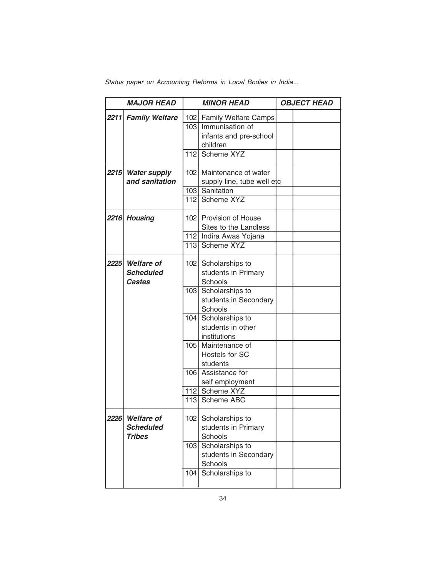| <b>MAJOR HEAD</b> |                     |     | <b>MINOR HEAD</b>          | <b>OBJECT HEAD</b> |
|-------------------|---------------------|-----|----------------------------|--------------------|
|                   | 2211 Family Welfare |     | 102 Family Welfare Camps   |                    |
|                   |                     |     | 103 Immunisation of        |                    |
|                   |                     |     | infants and pre-school     |                    |
|                   |                     |     | children                   |                    |
|                   |                     |     | 112 Scheme XYZ             |                    |
|                   | 2215 Water supply   |     | 102   Maintenance of water |                    |
|                   | and sanitation      |     | supply line, tube well etc |                    |
|                   |                     |     | 103 Sanitation             |                    |
|                   |                     |     | 112 Scheme XYZ             |                    |
|                   | 2216 Housing        |     | 102 Provision of House     |                    |
|                   |                     |     | Sites to the Landless      |                    |
|                   |                     |     | 112 Indira Awas Yojana     |                    |
|                   |                     | 113 | Scheme XYZ                 |                    |
|                   | 2225 Welfare of     |     | 102 Scholarships to        |                    |
|                   | <b>Scheduled</b>    |     | students in Primary        |                    |
|                   | <b>Castes</b>       |     | Schools                    |                    |
|                   |                     |     | 103 Scholarships to        |                    |
|                   |                     |     | students in Secondary      |                    |
|                   |                     |     | Schools                    |                    |
|                   |                     | 104 | Scholarships to            |                    |
|                   |                     |     | students in other          |                    |
|                   |                     |     | institutions               |                    |
|                   |                     | 105 | Maintenance of             |                    |
|                   |                     |     | Hostels for SC             |                    |
|                   |                     |     | students                   |                    |
|                   |                     |     | 106 Assistance for         |                    |
|                   |                     |     | self employment            |                    |
|                   |                     |     | 112 Scheme XYZ             |                    |
|                   |                     |     | 113 Scheme ABC             |                    |
|                   | 2226 Welfare of     |     | 102 Scholarships to        |                    |
|                   | <b>Scheduled</b>    |     | students in Primary        |                    |
|                   | <b>Tribes</b>       |     | Schools                    |                    |
|                   |                     | 103 | Scholarships to            |                    |
|                   |                     |     | students in Secondary      |                    |
|                   |                     |     | Schools                    |                    |
|                   |                     | 104 | Scholarships to            |                    |
|                   |                     |     |                            |                    |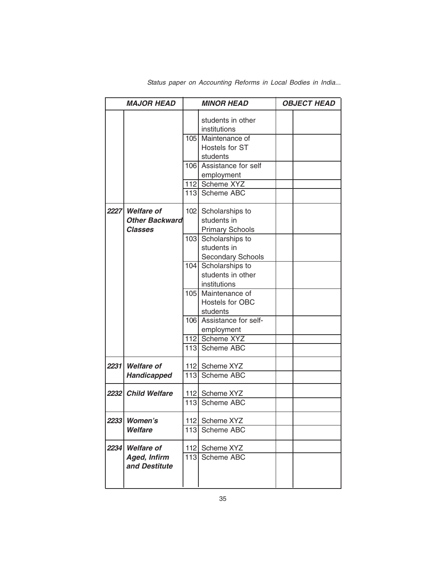| <b>MAJOR HEAD</b> |                                                              | <b>MINOR HEAD</b>                                            | <b>OBJECT HEAD</b> |  |  |
|-------------------|--------------------------------------------------------------|--------------------------------------------------------------|--------------------|--|--|
|                   |                                                              | students in other<br>institutions                            |                    |  |  |
|                   |                                                              | 105 Maintenance of<br>Hostels for ST                         |                    |  |  |
|                   |                                                              | students                                                     |                    |  |  |
|                   |                                                              | 106 Assistance for self<br>employment                        |                    |  |  |
|                   |                                                              | 112 Scheme XYZ                                               |                    |  |  |
|                   |                                                              | 113 Scheme ABC                                               |                    |  |  |
| 2227              | <b>Welfare of</b><br><b>Other Backward</b><br><b>Classes</b> | 102 Scholarships to<br>students in<br><b>Primary Schools</b> |                    |  |  |
|                   |                                                              | 103 Scholarships to<br>students in<br>Secondary Schools      |                    |  |  |
|                   |                                                              | 104 Scholarships to<br>students in other<br>institutions     |                    |  |  |
|                   |                                                              | 105 Maintenance of<br>Hostels for OBC<br>students            |                    |  |  |
|                   |                                                              | 106 Assistance for self-<br>employment                       |                    |  |  |
|                   |                                                              | 112 Scheme XYZ                                               |                    |  |  |
|                   |                                                              | 113 Scheme ABC                                               |                    |  |  |
| 2231              | <b>Welfare of</b>                                            | 112 Scheme XYZ                                               |                    |  |  |
|                   | Handicapped                                                  | 113 Scheme ABC                                               |                    |  |  |
|                   | 2232 Child Welfare                                           | 112 Scheme XYZ<br>113 Scheme ABC                             |                    |  |  |
|                   | 2233 Women's                                                 | 112 Scheme XYZ                                               |                    |  |  |
|                   | Welfare                                                      | 113 Scheme ABC                                               |                    |  |  |
| 2234              | <b>Welfare of</b>                                            | 112 Scheme XYZ                                               |                    |  |  |
|                   | <b>Aged, Infirm</b><br>and Destitute                         | 113 Scheme ABC                                               |                    |  |  |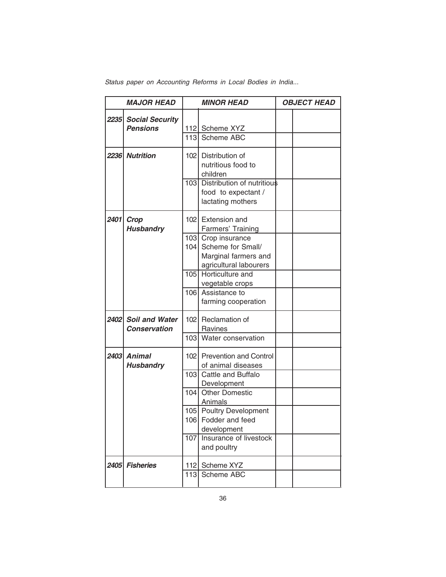|      | <b>MAJOR HEAD</b>                            |     | <b>MINOR HEAD</b>                                                                             | <b>OBJECT HEAD</b> |  |  |
|------|----------------------------------------------|-----|-----------------------------------------------------------------------------------------------|--------------------|--|--|
|      | 2235 Social Security<br><b>Pensions</b>      |     | 112 Scheme XYZ<br>113 Scheme ABC                                                              |                    |  |  |
|      | 2236 Nutrition                               |     | 102 Distribution of                                                                           |                    |  |  |
|      |                                              |     | nutritious food to<br>children                                                                |                    |  |  |
|      |                                              |     | 103 Distribution of nutritious<br>food to expectant /<br>lactating mothers                    |                    |  |  |
| 2401 | Crop<br><b>Husbandry</b>                     |     | 102 Extension and<br>Farmers' Training                                                        |                    |  |  |
|      |                                              |     | 103 Crop insurance<br>104 Scheme for Small/<br>Marginal farmers and<br>agricultural labourers |                    |  |  |
|      |                                              |     | 105 Horticulture and<br>vegetable crops                                                       |                    |  |  |
|      |                                              |     | 106 Assistance to<br>farming cooperation                                                      |                    |  |  |
| 2402 | <b>Soil and Water</b><br><b>Conservation</b> |     | 102 Reclamation of<br>Ravines                                                                 |                    |  |  |
|      |                                              |     | 103 Water conservation                                                                        |                    |  |  |
|      | 2403 Animal<br><b>Husbandry</b>              |     | 102 Prevention and Control<br>of animal diseases                                              |                    |  |  |
|      |                                              |     | 103 Cattle and Buffalo<br>Development                                                         |                    |  |  |
|      |                                              | 104 | <b>Other Domestic</b><br>Animals                                                              |                    |  |  |
|      |                                              |     | 105 Poultry Development<br>106 Fodder and feed<br>development                                 |                    |  |  |
|      |                                              | 107 | Insurance of livestock<br>and poultry                                                         |                    |  |  |
|      | 2405 Fisheries                               |     | 112 Scheme XYZ<br>113 Scheme ABC                                                              |                    |  |  |
|      |                                              |     |                                                                                               |                    |  |  |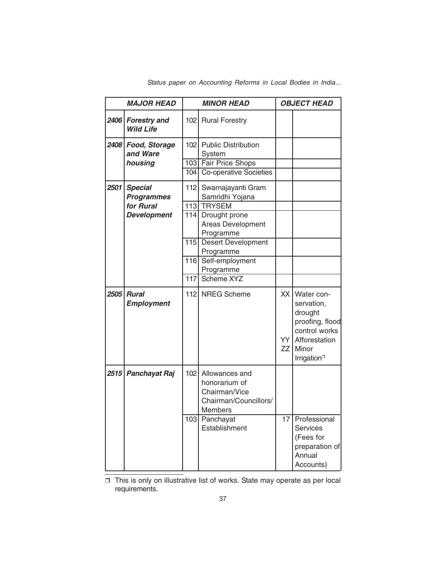| <b>MAJOR HEAD</b> |                                                                        | <b>MINOR HEAD</b>                      |                                                                                                                                                                                                   | <b>OBJECT HEAD</b>      |                                                                                                                              |  |  |
|-------------------|------------------------------------------------------------------------|----------------------------------------|---------------------------------------------------------------------------------------------------------------------------------------------------------------------------------------------------|-------------------------|------------------------------------------------------------------------------------------------------------------------------|--|--|
|                   | 2406 Forestry and<br><b>Wild Life</b>                                  | 102 <sub>l</sub>                       | <b>Rural Forestry</b>                                                                                                                                                                             |                         |                                                                                                                              |  |  |
| 2408              | <b>Food, Storage</b><br>and Ware<br>housing                            | 103<br>104                             | 102 Public Distribution<br>System<br><b>Fair Price Shops</b><br><b>Co-operative Societies</b>                                                                                                     |                         |                                                                                                                              |  |  |
| 2501              | <b>Special</b><br><b>Programmes</b><br>for Rural<br><b>Development</b> | 112<br>113<br>114<br>115<br>116<br>117 | Swarnajayanti Gram<br>Samridhi Yojana<br><b>TRYSEM</b><br>Drought prone<br>Areas Development<br>Programme<br><b>Desert Development</b><br>Programme<br>Self-employment<br>Programme<br>Scheme XYZ |                         |                                                                                                                              |  |  |
| 2505              | <b>Rural</b><br><b>Employment</b>                                      | 112I                                   | <b>NREG Scheme</b>                                                                                                                                                                                | XX<br>YY l<br><b>ZZ</b> | Water con-<br>servation,<br>drought<br>proofing, flood<br>control works<br>Afforestation<br>Minor<br>Irrigation <sup>p</sup> |  |  |
| 2515              | <b>Panchayat Raj</b>                                                   | 102                                    | Allowances and<br>honorarium of<br>Chairman/Vice<br>Chairman/Councillors/<br>Members<br>103 Panchayat<br>Establishment                                                                            | 17                      | Professional<br>Services<br>(Fees for<br>preparation of                                                                      |  |  |
|                   |                                                                        |                                        |                                                                                                                                                                                                   |                         | Annual<br>Accounts)                                                                                                          |  |  |

❒ This is only on illustrative list of works. State may operate as per local requirements.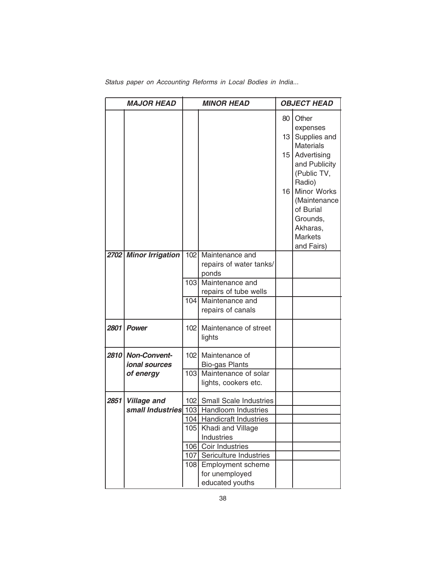|  |  |  | Status paper on Accounting Reforms in Local Bodies in India |  |  |  |  |  |  |
|--|--|--|-------------------------------------------------------------|--|--|--|--|--|--|
|--|--|--|-------------------------------------------------------------|--|--|--|--|--|--|

|                                              |                                |                                                                                                                                                                                                                            | 80<br>13 | Other<br>expenses                                                                                                                                                                             |
|----------------------------------------------|--------------------------------|----------------------------------------------------------------------------------------------------------------------------------------------------------------------------------------------------------------------------|----------|-----------------------------------------------------------------------------------------------------------------------------------------------------------------------------------------------|
|                                              |                                |                                                                                                                                                                                                                            | 15<br>16 | Supplies and<br><b>Materials</b><br>Advertising<br>and Publicity<br>(Public TV,<br>Radio)<br>Minor Works<br>(Maintenance<br>of Burial<br>Grounds,<br>Akharas,<br><b>Markets</b><br>and Fairs) |
| 2702                                         | <b>Minor Irrigation</b><br>102 | Maintenance and<br>repairs of water tanks/<br>ponds                                                                                                                                                                        |          |                                                                                                                                                                                               |
|                                              | 103 <sub>1</sub>               | Maintenance and<br>repairs of tube wells                                                                                                                                                                                   |          |                                                                                                                                                                                               |
|                                              | 104                            | Maintenance and<br>repairs of canals                                                                                                                                                                                       |          |                                                                                                                                                                                               |
| 2801<br><b>Power</b>                         | 102                            | Maintenance of street<br>lights                                                                                                                                                                                            |          |                                                                                                                                                                                               |
| 2810<br><b>Non-Convent-</b><br>ional sources | 102                            | Maintenance of<br>Bio-gas Plants                                                                                                                                                                                           |          |                                                                                                                                                                                               |
| of energy                                    | 103 <sub>l</sub>               | Maintenance of solar<br>lights, cookers etc.                                                                                                                                                                               |          |                                                                                                                                                                                               |
| 2851<br><b>Village and</b>                   | 105<br>106<br>107<br>108       | 102 Small Scale Industries<br>small Industries 103 Handloom Industries<br>104 Handicraft Industries<br>Khadi and Village<br>Industries<br>Coir Industries<br>Sericulture Industries<br>Employment scheme<br>for unemployed |          |                                                                                                                                                                                               |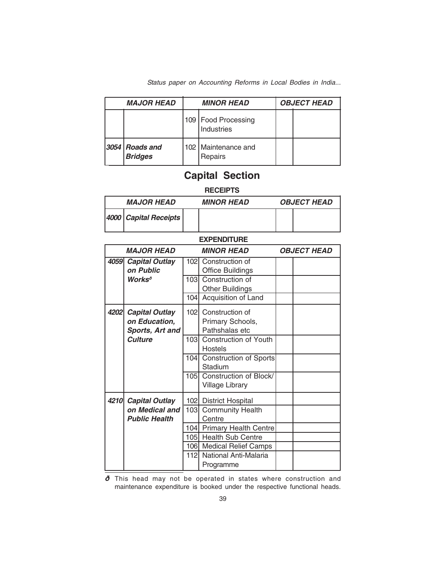| <b>MAJOR HEAD</b>                  | <b>MINOR HEAD</b>                          | <b>OBJECT HEAD</b> |
|------------------------------------|--------------------------------------------|--------------------|
|                                    | 109   Food Processing<br><b>Industries</b> |                    |
| $3054$ Roads and<br><b>Bridges</b> | 102 Maintenance and<br>Repairs             |                    |

### **Capital Section**

#### **RECEIPTS**

|  | <i><b>MAJOR HEAD</b></i>      | <b>MINOR HEAD</b> | <b>OBJECT HEAD</b> |
|--|-------------------------------|-------------------|--------------------|
|  | $ 4000 $ Capital Receipts $ $ |                   |                    |

#### **EXPENDITURE**

| <b>MAJOR HEAD</b> |                       |                  | <i><b>MINOR HEAD</b></i>     | <b>OBJECT HEAD</b> |
|-------------------|-----------------------|------------------|------------------------------|--------------------|
|                   | 4059 Capital Outlay   |                  | 102 Construction of          |                    |
|                   | on Public             |                  | <b>Office Buildings</b>      |                    |
|                   | Works <sup>ð</sup>    | 103 <sub>l</sub> | Construction of              |                    |
|                   |                       |                  | <b>Other Buildings</b>       |                    |
|                   |                       | 104              | Acquisition of Land          |                    |
| 4202              | <b>Capital Outlay</b> | 102 <sub>l</sub> | Construction of              |                    |
|                   | on Education,         |                  | Primary Schools,             |                    |
|                   | Sports, Art and       |                  | Pathshalas etc               |                    |
|                   | <b>Culture</b>        | 103 <sub>l</sub> | <b>Construction of Youth</b> |                    |
|                   |                       |                  | <b>Hostels</b>               |                    |
|                   |                       | 104              | Construction of Sports       |                    |
|                   |                       |                  | Stadium                      |                    |
|                   |                       | 105              | Construction of Block/       |                    |
|                   |                       |                  | <b>Village Library</b>       |                    |
|                   | 4210 Capital Outlay   | 102              | <b>District Hospital</b>     |                    |
|                   | on Medical and        | 103              | <b>Community Health</b>      |                    |
|                   | <b>Public Health</b>  |                  | Centre                       |                    |
|                   |                       | 104              | <b>Primary Health Centre</b> |                    |
|                   |                       |                  | 105 Health Sub Centre        |                    |
|                   |                       |                  | 106 Medical Relief Camps     |                    |
|                   |                       | 112              | National Anti-Malaria        |                    |
|                   |                       |                  | Programme                    |                    |

**ð** This head may not be operated in states where construction and maintenance expenditure is booked under the respective functional heads.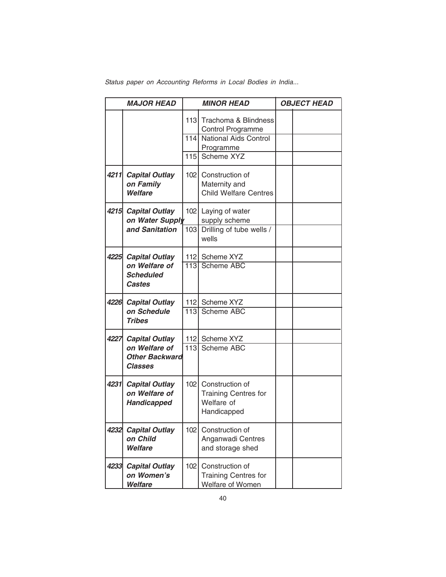|      | <b>MAJOR HEAD</b>                                        |     | <b>MINOR HEAD</b>                                                               | <b>OBJECT HEAD</b> |
|------|----------------------------------------------------------|-----|---------------------------------------------------------------------------------|--------------------|
|      |                                                          |     | 113 Trachoma & Blindness<br>Control Programme                                   |                    |
|      |                                                          | 114 | <b>National Aids Control</b><br>Programme                                       |                    |
|      |                                                          |     | 115 Scheme XYZ                                                                  |                    |
|      | 4211 Capital Outlay<br>on Family<br><b>Welfare</b>       |     | 102 Construction of<br>Maternity and<br><b>Child Welfare Centres</b>            |                    |
|      | 4215 Capital Outlay<br>on Water Supply                   |     | 102 Laying of water<br>supply scheme                                            |                    |
|      | and Sanitation                                           | 103 | Drilling of tube wells /<br>wells                                               |                    |
|      | 4225 Capital Outlay                                      |     | 112 Scheme XYZ                                                                  |                    |
|      | on Welfare of<br><b>Scheduled</b><br><b>Castes</b>       |     | 113 Scheme ABC                                                                  |                    |
|      | 4226 Capital Outlay                                      |     | 112 Scheme XYZ                                                                  |                    |
|      | on Schedule<br><b>Tribes</b>                             |     | 113 Scheme ABC                                                                  |                    |
|      | 4227 Capital Outlay                                      |     | 112 Scheme XYZ                                                                  |                    |
|      | on Welfare of<br><b>Other Backward</b><br><b>Classes</b> |     | 113 Scheme ABC                                                                  |                    |
|      | 4231 Capital Outlay<br>on Welfare of<br>Handicapped      |     | 102 Construction of<br><b>Training Centres for</b><br>Welfare of<br>Handicapped |                    |
| 4232 | <b>Capital Outlay</b><br>on Child<br><b>Welfare</b>      | 102 | Construction of<br>Anganwadi Centres<br>and storage shed                        |                    |
| 4233 | <b>Capital Outlay</b><br>on Women's<br>Welfare           | 102 | Construction of<br><b>Training Centres for</b><br>Welfare of Women              |                    |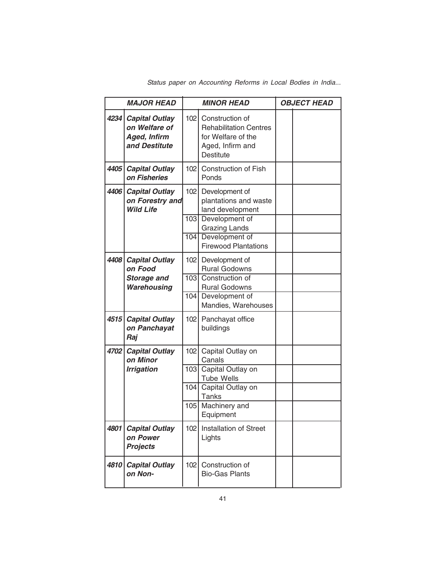|      | <b>MAJOR HEAD</b>                                                              |     | <b>MINOR HEAD</b>                                                                                                  | <b>OBJECT HEAD</b> |
|------|--------------------------------------------------------------------------------|-----|--------------------------------------------------------------------------------------------------------------------|--------------------|
| 4234 | <b>Capital Outlay</b><br>on Welfare of<br><b>Aged, Infirm</b><br>and Destitute |     | 102 Construction of<br><b>Rehabilitation Centres</b><br>for Welfare of the<br>Aged, Infirm and<br><b>Destitute</b> |                    |
| 4405 | <b>Capital Outlay</b><br>on Fisheries                                          | 102 | <b>Construction of Fish</b><br>Ponds                                                                               |                    |
| 4406 | <b>Capital Outlay</b><br>on Forestry and<br><b>Wild Life</b>                   |     | 102 Development of<br>plantations and waste<br>land development<br>103 Development of                              |                    |
|      |                                                                                | 104 | <b>Grazing Lands</b><br>Development of<br><b>Firewood Plantations</b>                                              |                    |
| 4408 | <b>Capital Outlay</b><br>on Food<br><b>Storage and</b>                         |     | 102 Development of<br><b>Rural Godowns</b><br>103 Construction of                                                  |                    |
|      | <b>Warehousing</b>                                                             |     | <b>Rural Godowns</b><br>104 Development of<br>Mandies, Warehouses                                                  |                    |
| 4515 | <b>Capital Outlay</b><br>on Panchayat<br>Raj                                   | 102 | Panchayat office<br>buildings                                                                                      |                    |
|      | 4702 Capital Outlay<br>on Minor                                                | 102 | Capital Outlay on<br>Canals                                                                                        |                    |
|      | <b>Irrigation</b>                                                              |     | 103 Capital Outlay on<br><b>Tube Wells</b>                                                                         |                    |
|      |                                                                                |     | 104 Capital Outlay on<br><b>Tanks</b>                                                                              |                    |
|      |                                                                                |     | 105 Machinery and<br>Equipment                                                                                     |                    |
| 4801 | <b>Capital Outlay</b><br>on Power<br><b>Projects</b>                           |     | 102 Installation of Street<br>Lights                                                                               |                    |
| 4810 | <b>Capital Outlay</b><br>on Non-                                               | 102 | Construction of<br><b>Bio-Gas Plants</b>                                                                           |                    |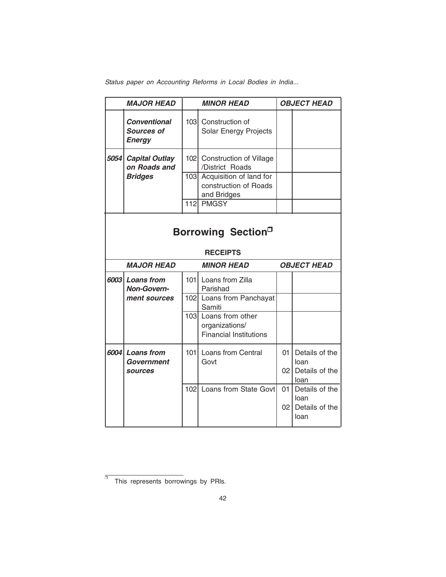|      | <b>MAJOR HEAD</b>                                         |                  | <b>MINOR HEAD</b>                                                       |    | <b>OBJECT HEAD</b>        |  |  |  |
|------|-----------------------------------------------------------|------------------|-------------------------------------------------------------------------|----|---------------------------|--|--|--|
|      | <b>Conventional</b><br><b>Sources of</b><br><b>Energy</b> | 103 <sup>1</sup> | Construction of<br><b>Solar Energy Projects</b>                         |    |                           |  |  |  |
| 5054 | <b>Capital Outlay</b><br>on Roads and                     | 102              | <b>Construction of Village</b><br>/District Roads                       |    |                           |  |  |  |
|      | <b>Bridges</b>                                            |                  | 103 Acquisition of land for<br>construction of Roads<br>and Bridges     |    |                           |  |  |  |
|      |                                                           | 112              | <b>PMGSY</b>                                                            |    |                           |  |  |  |
|      | Borrowing Section <sup>D</sup><br><b>RECEIPTS</b>         |                  |                                                                         |    |                           |  |  |  |
|      | <b>MAJOR HEAD</b>                                         |                  | <b>MINOR HEAD</b>                                                       |    | <b>OBJECT HEAD</b>        |  |  |  |
| 6003 | <b>Loans from</b><br><b>Non-Govern-</b>                   | 101 <sup>1</sup> | Loans from Zilla<br>Parishad                                            |    |                           |  |  |  |
|      | ment sources                                              |                  | 102 Loans from Panchayat<br>Samiti                                      |    |                           |  |  |  |
|      |                                                           |                  | 103 Loans from other<br>organizations/<br><b>Financial Institutions</b> |    |                           |  |  |  |
| 6004 | <b>Loans from</b><br>Government                           | 101              | Loans from Central<br>Govt                                              | 01 | Details of the<br>loan    |  |  |  |
|      | <b>sources</b>                                            |                  |                                                                         |    | 02 Details of the<br>loan |  |  |  |
|      |                                                           | 102              | Loans from State Govt                                                   | 01 | Details of the<br>loan    |  |  |  |
|      |                                                           |                  |                                                                         |    | 02 Details of the<br>loan |  |  |  |

 $\overline{\sigma}$ This represents borrowings by PRls.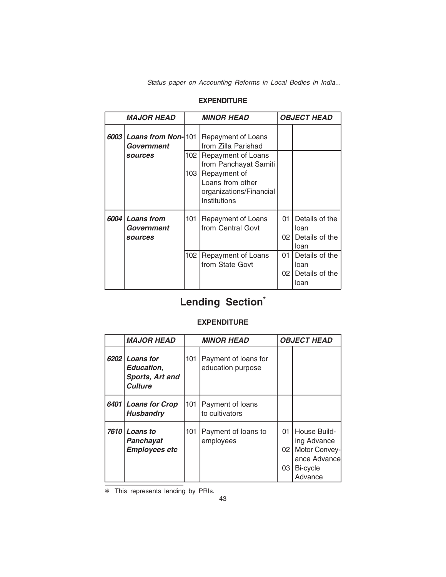#### **EXPENDITURE**

|      | <i><b>MAJOR HEAD</b></i>                   |     | <b>MINOR HEAD</b>                                                           | <i><b>OBJECT HEAD</b></i> |                                                     |
|------|--------------------------------------------|-----|-----------------------------------------------------------------------------|---------------------------|-----------------------------------------------------|
| 6003 | <b>Loans from Non-101</b><br>Government    |     | Repayment of Loans<br>from Zilla Parishad                                   |                           |                                                     |
|      | <b>sources</b>                             | 102 | <b>Repayment of Loans</b><br>from Panchayat Samiti                          |                           |                                                     |
|      |                                            | 103 | Repayment of<br>Loans from other<br>organizations/Financial<br>Institutions |                           |                                                     |
| 6004 | <b>Loans from</b><br>Government<br>sources | 101 | Repayment of Loans<br>from Central Govt                                     | 01<br>02                  | Details of the<br>loan<br>Details of the<br>loan    |
|      |                                            | 102 | Repayment of Loans<br>from State Govt                                       | 01                        | Details of the<br>loan<br>02 Details of the<br>loan |

# **Lending Section\***

#### **EXPENDITURE**

| <b>MAJOR HEAD</b>                                                 |     | <b>MINOR HEAD</b>                         | <b>OBJECT HEAD</b>            |                                                                                      |
|-------------------------------------------------------------------|-----|-------------------------------------------|-------------------------------|--------------------------------------------------------------------------------------|
| 6202 Loans for<br>Education,<br>Sports, Art and<br><b>Culture</b> | 101 | Payment of loans for<br>education purpose |                               |                                                                                      |
| 6401   Loans for Crop<br><b>Husbandry</b>                         | 101 | Payment of loans<br>to cultivators        |                               |                                                                                      |
| 7610 Loans to<br><b>Panchayat</b><br><b>Employees etc</b>         | 101 | Payment of loans to<br>employees          | 01 I<br>02 <sub>1</sub><br>03 | House Build-<br>ing Advance<br>Motor Convey-<br>ance Advancel<br>Bi-cycle<br>Advance |

✼ This represents lending by PRIs.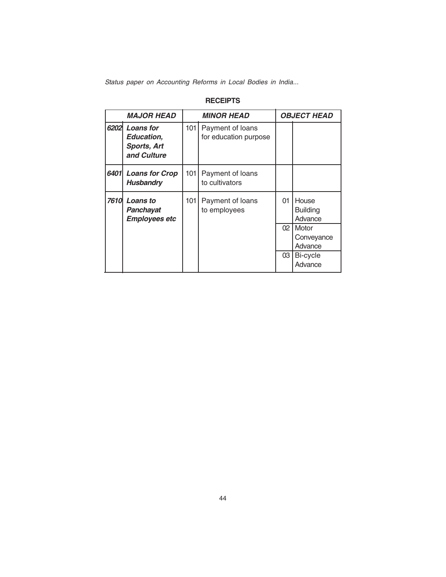#### **RECEIPTS**

|      | <b>MAJOR HEAD</b>                                                   |       | <b>MINOR HEAD</b>                         | <b>OBJECT HEAD</b> |                                     |
|------|---------------------------------------------------------------------|-------|-------------------------------------------|--------------------|-------------------------------------|
| 6202 | <b>Loans</b> for<br>Education,<br><b>Sports, Art</b><br>and Culture | 101   | Payment of loans<br>for education purpose |                    |                                     |
| 6401 | <b>Loans for Crop</b><br>Husbandry                                  | 101 l | Payment of loans<br>to cultivators        |                    |                                     |
| 7610 | Loans to<br>Panchayat<br><b>Employees etc</b>                       | 101   | Payment of loans<br>to employees          | 01                 | House<br><b>Building</b><br>Advance |
|      |                                                                     |       |                                           | 02 <sub>2</sub>    | Motor<br>Conveyance<br>Advance      |
|      |                                                                     |       |                                           | 03                 | Bi-cycle<br>Advance                 |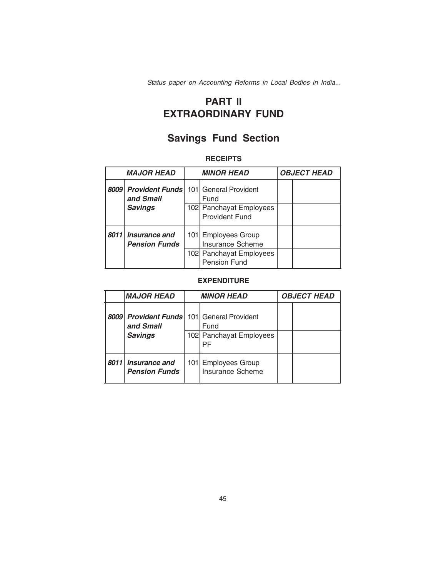### **PART II EXTRAORDINARY FUND**

# **Savings Fund Section**

#### **RECEIPTS**

| <b>MAJOR HEAD</b> |                                                                                  | <b>MINOR HEAD</b> |                                                                                    | <b>OBJECT HEAD</b> |  |
|-------------------|----------------------------------------------------------------------------------|-------------------|------------------------------------------------------------------------------------|--------------------|--|
|                   | <b>8009 Provident Funds</b> 101 General Provident<br>and Small<br><b>Savings</b> |                   | Fund<br>102 Panchayat Employees<br><b>Provident Fund</b>                           |                    |  |
|                   | 8011 Insurance and<br><b>Pension Funds</b>                                       |                   | 101 Employees Group<br>Insurance Scheme<br>102 Panchayat Employees<br>Pension Fund |                    |  |

#### **EXPENDITURE**

| <b>MAJOR HEAD</b>                                                                | <b>MINOR HEAD</b> |                                         | <b>OBJECT HEAD</b> |  |
|----------------------------------------------------------------------------------|-------------------|-----------------------------------------|--------------------|--|
| <b>8009 Provident Funds</b> 101 General Provident<br>and Small<br><b>Savings</b> |                   | Fund<br>102 Panchayat Employees<br>PF   |                    |  |
| 8011 Insurance and<br><b>Pension Funds</b>                                       |                   | 101 Employees Group<br>Insurance Scheme |                    |  |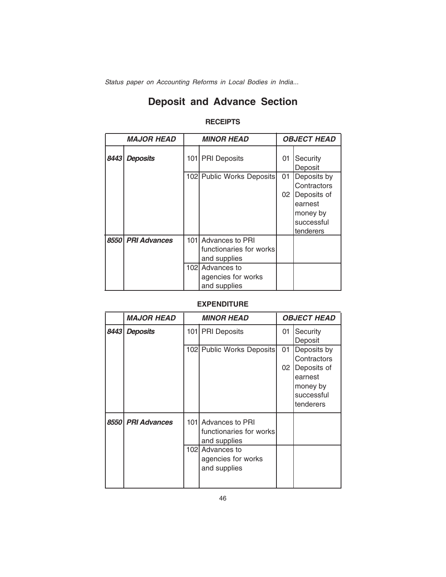# **Deposit and Advance Section**

#### **RECEIPTS**

|      | <i><b>MAJOR HEAD</b></i> |                  | <b>MINOR HEAD</b>         |    | <b>OBJECT HEAD</b>  |  |
|------|--------------------------|------------------|---------------------------|----|---------------------|--|
| 8443 | <b>Deposits</b>          |                  | 101 PRI Deposits          | 01 | Security<br>Deposit |  |
|      |                          |                  | 102 Public Works Deposits | 01 | Deposits by         |  |
|      |                          |                  |                           |    | Contractors         |  |
|      |                          |                  |                           | 02 | Deposits of         |  |
|      |                          |                  |                           |    | earnest             |  |
|      |                          |                  |                           |    | money by            |  |
|      |                          |                  |                           |    | successful          |  |
|      |                          |                  |                           |    | tenderers           |  |
| 8550 | <b>PRI Advances</b>      |                  | 101 Advances to PRI       |    |                     |  |
|      |                          |                  | functionaries for works   |    |                     |  |
|      |                          |                  | and supplies              |    |                     |  |
|      |                          | 102 <sub>l</sub> | Advances to               |    |                     |  |
|      |                          |                  | agencies for works        |    |                     |  |
|      |                          |                  | and supplies              |    |                     |  |

#### **EXPENDITURE**

|      | <b>MAJOR HEAD</b> | <b>MINOR HEAD</b> |                                                            |    | <b>OBJECT HEAD</b>                                            |  |  |
|------|-------------------|-------------------|------------------------------------------------------------|----|---------------------------------------------------------------|--|--|
| 8443 | <b>Deposits</b>   |                   | 101 PRI Deposits                                           | 01 | Security<br>Deposit                                           |  |  |
|      |                   |                   | 102 Public Works Deposits                                  | 01 | Deposits by<br>Contractors                                    |  |  |
|      |                   |                   |                                                            | 02 | Deposits of<br>earnest<br>money by<br>successful<br>tenderers |  |  |
|      | 8550 PRI Advances | 1011              | Advances to PRI<br>functionaries for works<br>and supplies |    |                                                               |  |  |
|      |                   | 102l              | Advances to<br>agencies for works<br>and supplies          |    |                                                               |  |  |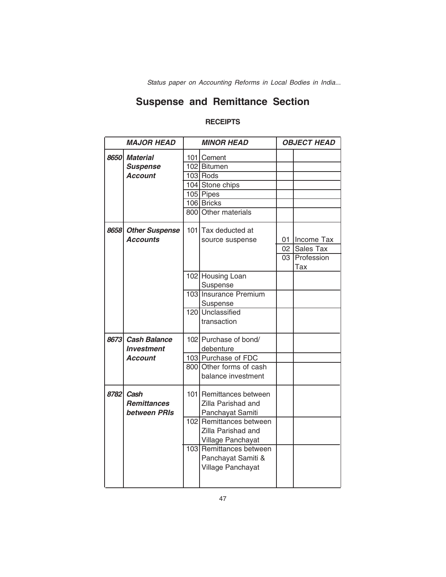# **Suspense and Remittance Section**

#### **RECEIPTS**

| <b>MAJOR HEAD</b><br><b>MINOR HEAD</b>                | <b>OBJECT HEAD</b> |  |
|-------------------------------------------------------|--------------------|--|
| 8650 Material<br>101 Cement                           |                    |  |
| 102 Bitumen<br><b>Suspense</b>                        |                    |  |
| <b>Account</b><br>$103$ Rods                          |                    |  |
| 104 Stone chips                                       |                    |  |
| 105 Pipes                                             |                    |  |
| 106 Bricks                                            |                    |  |
| 800 Other materials                                   |                    |  |
| 8658<br><b>Other Suspense</b><br>101 Tax deducted at  |                    |  |
| <b>Accounts</b><br>01   Income Tax<br>source suspense |                    |  |
| 02 Sales Tax                                          |                    |  |
| Profession<br>03                                      |                    |  |
| Tax                                                   |                    |  |
| 102 Housing Loan                                      |                    |  |
| Suspense                                              |                    |  |
| 103 Insurance Premium                                 |                    |  |
| Suspense<br>120 Unclassified                          |                    |  |
| transaction                                           |                    |  |
|                                                       |                    |  |
| 8673<br>102 Purchase of bond/<br><b>Cash Balance</b>  |                    |  |
| debenture<br><i><b>Investment</b></i>                 |                    |  |
| 103 Purchase of FDC<br>Account                        |                    |  |
| 800 Other forms of cash                               |                    |  |
| balance investment                                    |                    |  |
| 8782<br>101 Remittances between<br>Cash               |                    |  |
| <b>Remittances</b><br>Zilla Parishad and              |                    |  |
| between PRIs<br>Panchayat Samiti                      |                    |  |
| 102 Remittances between                               |                    |  |
| Zilla Parishad and                                    |                    |  |
| Village Panchayat                                     |                    |  |
| 103 Remittances between                               |                    |  |
| Panchayat Samiti &                                    |                    |  |
| Village Panchayat                                     |                    |  |
|                                                       |                    |  |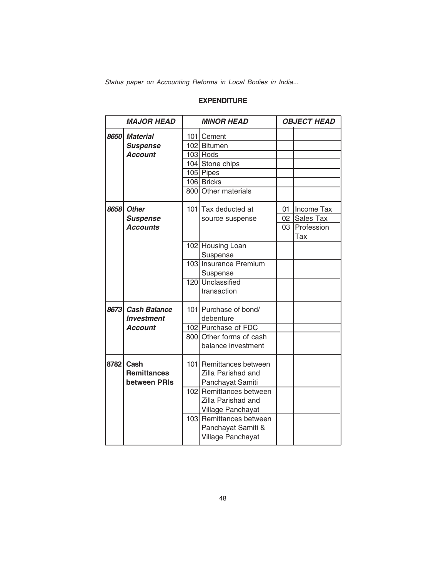#### **EXPENDITURE**

| <b>MAJOR HEAD</b> |                    | <b>MINOR HEAD</b> |                         | <b>OBJECT HEAD</b> |              |
|-------------------|--------------------|-------------------|-------------------------|--------------------|--------------|
|                   | 8650 Material      |                   | 101 Cement              |                    |              |
|                   | <b>Suspense</b>    |                   | 102 Bitumen             |                    |              |
|                   | <b>Account</b>     |                   | 103 Rods                |                    |              |
|                   |                    |                   | 104 Stone chips         |                    |              |
|                   |                    |                   | 105 Pipes               |                    |              |
|                   |                    |                   | 106 Bricks              |                    |              |
|                   |                    |                   | 800 Other materials     |                    |              |
| 8658              | <b>Other</b>       |                   | 101 Tax deducted at     | 01                 | Income Tax   |
|                   | <b>Suspense</b>    |                   | source suspense         |                    | 02 Sales Tax |
|                   | <b>Accounts</b>    |                   |                         | 03                 | Profession   |
|                   |                    |                   |                         |                    | Tax          |
|                   |                    |                   | 102 Housing Loan        |                    |              |
|                   |                    |                   | Suspense                |                    |              |
|                   |                    |                   | 103 Insurance Premium   |                    |              |
|                   |                    |                   | Suspense                |                    |              |
|                   |                    |                   | 120 Unclassified        |                    |              |
|                   |                    |                   | transaction             |                    |              |
|                   | 8673 Cash Balance  |                   | 101 Purchase of bond/   |                    |              |
|                   | <b>Investment</b>  |                   | debenture               |                    |              |
|                   | <b>Account</b>     |                   | 102 Purchase of FDC     |                    |              |
|                   |                    |                   | 800 Other forms of cash |                    |              |
|                   |                    |                   | balance investment      |                    |              |
| 8782              | Cash               |                   | 101 Remittances between |                    |              |
|                   | <b>Remittances</b> |                   | Zilla Parishad and      |                    |              |
|                   | between PRIs       |                   | Panchayat Samiti        |                    |              |
|                   |                    |                   | 102 Remittances between |                    |              |
|                   |                    |                   | Zilla Parishad and      |                    |              |
|                   |                    |                   | Village Panchayat       |                    |              |
|                   |                    |                   | 103 Remittances between |                    |              |
|                   |                    |                   | Panchayat Samiti &      |                    |              |
|                   |                    |                   | Village Panchayat       |                    |              |